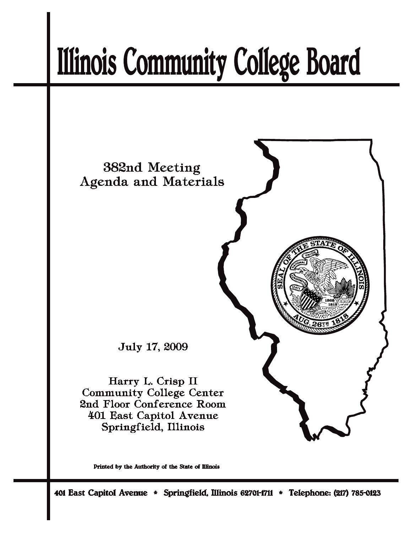# **Illinois Community College Board**



Printed by the Authority of the State of Illinois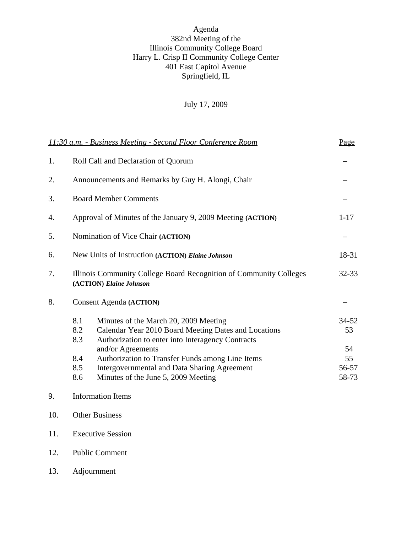## Agenda 382nd Meeting of the Illinois Community College Board Harry L. Crisp II Community College Center 401 East Capitol Avenue Springfield, IL

# July 17, 2009

|     | 11:30 a.m. - Business Meeting - Second Floor Conference Room                                  |                                                                                                                                                                                                                                                                                                                           |                                           |  |
|-----|-----------------------------------------------------------------------------------------------|---------------------------------------------------------------------------------------------------------------------------------------------------------------------------------------------------------------------------------------------------------------------------------------------------------------------------|-------------------------------------------|--|
| 1.  | Roll Call and Declaration of Quorum                                                           |                                                                                                                                                                                                                                                                                                                           |                                           |  |
| 2.  | Announcements and Remarks by Guy H. Alongi, Chair                                             |                                                                                                                                                                                                                                                                                                                           |                                           |  |
| 3.  | <b>Board Member Comments</b>                                                                  |                                                                                                                                                                                                                                                                                                                           |                                           |  |
| 4.  | Approval of Minutes of the January 9, 2009 Meeting (ACTION)                                   |                                                                                                                                                                                                                                                                                                                           | $1 - 17$                                  |  |
| 5.  | Nomination of Vice Chair (ACTION)                                                             |                                                                                                                                                                                                                                                                                                                           |                                           |  |
| 6.  | New Units of Instruction (ACTION) Elaine Johnson                                              |                                                                                                                                                                                                                                                                                                                           | 18-31                                     |  |
| 7.  | Illinois Community College Board Recognition of Community Colleges<br>(ACTION) Elaine Johnson |                                                                                                                                                                                                                                                                                                                           | 32-33                                     |  |
| 8.  |                                                                                               | <b>Consent Agenda (ACTION)</b>                                                                                                                                                                                                                                                                                            |                                           |  |
|     | 8.1<br>8.2<br>8.3<br>8.4<br>8.5<br>8.6                                                        | Minutes of the March 20, 2009 Meeting<br>Calendar Year 2010 Board Meeting Dates and Locations<br>Authorization to enter into Interagency Contracts<br>and/or Agreements<br>Authorization to Transfer Funds among Line Items<br><b>Intergovernmental and Data Sharing Agreement</b><br>Minutes of the June 5, 2009 Meeting | 34-52<br>53<br>54<br>55<br>56-57<br>58-73 |  |
| 9.  |                                                                                               | <b>Information Items</b>                                                                                                                                                                                                                                                                                                  |                                           |  |
| 10. | <b>Other Business</b>                                                                         |                                                                                                                                                                                                                                                                                                                           |                                           |  |

- 11. Executive Session
- 12. Public Comment
- 13. Adjournment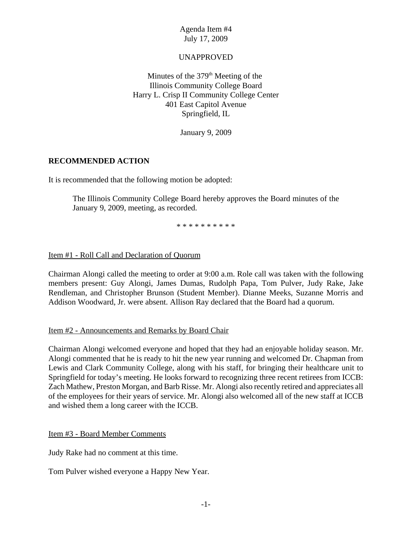## UNAPPROVED

Minutes of the  $379<sup>th</sup>$  Meeting of the Illinois Community College Board Harry L. Crisp II Community College Center 401 East Capitol Avenue Springfield, IL

January 9, 2009

## **RECOMMENDED ACTION**

It is recommended that the following motion be adopted:

The Illinois Community College Board hereby approves the Board minutes of the January 9, 2009, meeting, as recorded.

\* \* \* \* \* \* \* \* \* \*

## Item #1 - Roll Call and Declaration of Quorum

Chairman Alongi called the meeting to order at 9:00 a.m. Role call was taken with the following members present: Guy Alongi, James Dumas, Rudolph Papa, Tom Pulver, Judy Rake, Jake Rendleman, and Christopher Brunson (Student Member). Dianne Meeks, Suzanne Morris and Addison Woodward, Jr. were absent. Allison Ray declared that the Board had a quorum.

### Item #2 - Announcements and Remarks by Board Chair

Chairman Alongi welcomed everyone and hoped that they had an enjoyable holiday season. Mr. Alongi commented that he is ready to hit the new year running and welcomed Dr. Chapman from Lewis and Clark Community College, along with his staff, for bringing their healthcare unit to Springfield for today's meeting. He looks forward to recognizing three recent retirees from ICCB: Zach Mathew, Preston Morgan, and Barb Risse. Mr. Alongi also recently retired and appreciates all of the employees for their years of service. Mr. Alongi also welcomed all of the new staff at ICCB and wished them a long career with the ICCB.

Item #3 - Board Member Comments

Judy Rake had no comment at this time.

Tom Pulver wished everyone a Happy New Year.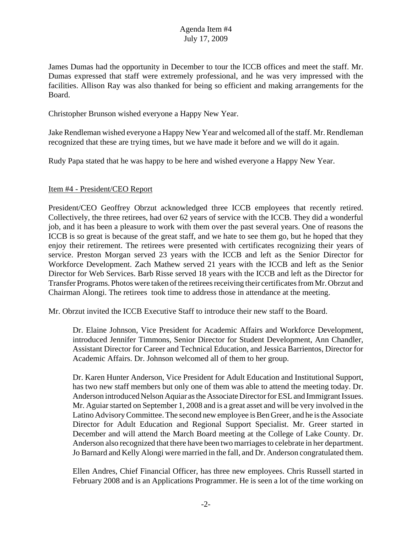James Dumas had the opportunity in December to tour the ICCB offices and meet the staff. Mr. Dumas expressed that staff were extremely professional, and he was very impressed with the facilities. Allison Ray was also thanked for being so efficient and making arrangements for the Board.

Christopher Brunson wished everyone a Happy New Year.

Jake Rendleman wished everyone a Happy New Year and welcomed all of the staff. Mr. Rendleman recognized that these are trying times, but we have made it before and we will do it again.

Rudy Papa stated that he was happy to be here and wished everyone a Happy New Year.

### Item #4 - President/CEO Report

President/CEO Geoffrey Obrzut acknowledged three ICCB employees that recently retired. Collectively, the three retirees, had over 62 years of service with the ICCB. They did a wonderful job, and it has been a pleasure to work with them over the past several years. One of reasons the ICCB is so great is because of the great staff, and we hate to see them go, but he hoped that they enjoy their retirement. The retirees were presented with certificates recognizing their years of service. Preston Morgan served 23 years with the ICCB and left as the Senior Director for Workforce Development. Zach Mathew served 21 years with the ICCB and left as the Senior Director for Web Services. Barb Risse served 18 years with the ICCB and left as the Director for Transfer Programs. Photos were taken of the retirees receiving their certificates from Mr. Obrzut and Chairman Alongi. The retirees took time to address those in attendance at the meeting.

Mr. Obrzut invited the ICCB Executive Staff to introduce their new staff to the Board.

Dr. Elaine Johnson, Vice President for Academic Affairs and Workforce Development, introduced Jennifer Timmons, Senior Director for Student Development, Ann Chandler, Assistant Director for Career and Technical Education, and Jessica Barrientos, Director for Academic Affairs. Dr. Johnson welcomed all of them to her group.

Dr. Karen Hunter Anderson, Vice President for Adult Education and Institutional Support, has two new staff members but only one of them was able to attend the meeting today. Dr. Anderson introduced Nelson Aquiar as the Associate Director for ESL and Immigrant Issues. Mr. Aguiar started on September 1, 2008 and is a great asset and will be very involved in the Latino Advisory Committee. The second new employee is Ben Greer, and he is the Associate Director for Adult Education and Regional Support Specialist. Mr. Greer started in December and will attend the March Board meeting at the College of Lake County. Dr. Anderson also recognized that there have been two marriages to celebrate in her department. Jo Barnard and Kelly Alongi were married in the fall, and Dr. Anderson congratulated them.

Ellen Andres, Chief Financial Officer, has three new employees. Chris Russell started in February 2008 and is an Applications Programmer. He is seen a lot of the time working on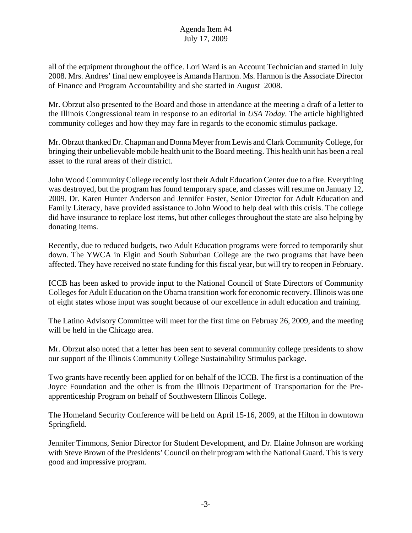all of the equipment throughout the office. Lori Ward is an Account Technician and started in July 2008. Mrs. Andres' final new employee is Amanda Harmon. Ms. Harmon is the Associate Director of Finance and Program Accountability and she started in August 2008.

Mr. Obrzut also presented to the Board and those in attendance at the meeting a draft of a letter to the Illinois Congressional team in response to an editorial in *USA Today*. The article highlighted community colleges and how they may fare in regards to the economic stimulus package.

Mr. Obrzut thanked Dr. Chapman and Donna Meyer from Lewis and Clark Community College, for bringing their unbelievable mobile health unit to the Board meeting. This health unit has been a real asset to the rural areas of their district.

John Wood Community College recently lost their Adult Education Center due to a fire. Everything was destroyed, but the program has found temporary space, and classes will resume on January 12, 2009. Dr. Karen Hunter Anderson and Jennifer Foster, Senior Director for Adult Education and Family Literacy, have provided assistance to John Wood to help deal with this crisis. The college did have insurance to replace lost items, but other colleges throughout the state are also helping by donating items.

Recently, due to reduced budgets, two Adult Education programs were forced to temporarily shut down. The YWCA in Elgin and South Suburban College are the two programs that have been affected. They have received no state funding for this fiscal year, but will try to reopen in February.

ICCB has been asked to provide input to the National Council of State Directors of Community Colleges for Adult Education on the Obama transition work for economic recovery. Illinois was one of eight states whose input was sought because of our excellence in adult education and training.

The Latino Advisory Committee will meet for the first time on Februay 26, 2009, and the meeting will be held in the Chicago area.

Mr. Obrzut also noted that a letter has been sent to several community college presidents to show our support of the Illinois Community College Sustainability Stimulus package.

Two grants have recently been applied for on behalf of the ICCB. The first is a continuation of the Joyce Foundation and the other is from the Illinois Department of Transportation for the Preapprenticeship Program on behalf of Southwestern Illinois College.

The Homeland Security Conference will be held on April 15-16, 2009, at the Hilton in downtown Springfield.

Jennifer Timmons, Senior Director for Student Development, and Dr. Elaine Johnson are working with Steve Brown of the Presidents' Council on their program with the National Guard. This is very good and impressive program.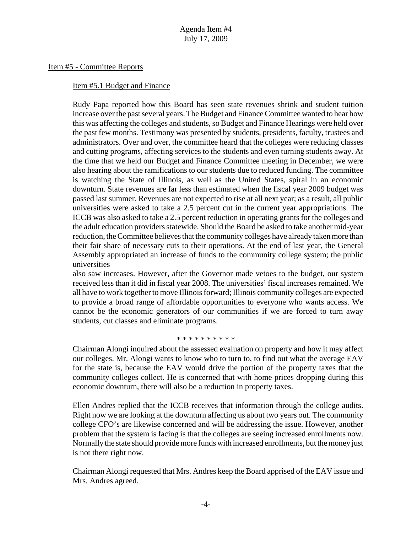#### Item #5 - Committee Reports

#### Item #5.1 Budget and Finance

Rudy Papa reported how this Board has seen state revenues shrink and student tuition increase over the past several years. The Budget and Finance Committee wanted to hear how this was affecting the colleges and students, so Budget and Finance Hearings were held over the past few months. Testimony was presented by students, presidents, faculty, trustees and administrators. Over and over, the committee heard that the colleges were reducing classes and cutting programs, affecting services to the students and even turning students away. At the time that we held our Budget and Finance Committee meeting in December, we were also hearing about the ramifications to our students due to reduced funding. The committee is watching the State of Illinois, as well as the United States, spiral in an economic downturn. State revenues are far less than estimated when the fiscal year 2009 budget was passed last summer. Revenues are not expected to rise at all next year; as a result, all public universities were asked to take a 2.5 percent cut in the current year appropriations. The ICCB was also asked to take a 2.5 percent reduction in operating grants for the colleges and the adult education providers statewide. Should the Board be asked to take another mid-year reduction, the Committee believes that the community colleges have already taken more than their fair share of necessary cuts to their operations. At the end of last year, the General Assembly appropriated an increase of funds to the community college system; the public universities

also saw increases. However, after the Governor made vetoes to the budget, our system received less than it did in fiscal year 2008. The universities' fiscal increases remained. We all have to work together to move Illinois forward; Illinois community colleges are expected to provide a broad range of affordable opportunities to everyone who wants access. We cannot be the economic generators of our communities if we are forced to turn away students, cut classes and eliminate programs.

#### \* \* \* \* \* \* \* \* \* \*

Chairman Alongi inquired about the assessed evaluation on property and how it may affect our colleges. Mr. Alongi wants to know who to turn to, to find out what the average EAV for the state is, because the EAV would drive the portion of the property taxes that the community colleges collect. He is concerned that with home prices dropping during this economic downturn, there will also be a reduction in property taxes.

Ellen Andres replied that the ICCB receives that information through the college audits. Right now we are looking at the downturn affecting us about two years out. The community college CFO's are likewise concerned and will be addressing the issue. However, another problem that the system is facing is that the colleges are seeing increased enrollments now. Normally the state should provide more funds with increased enrollments, but the money just is not there right now.

Chairman Alongi requested that Mrs. Andres keep the Board apprised of the EAV issue and Mrs. Andres agreed.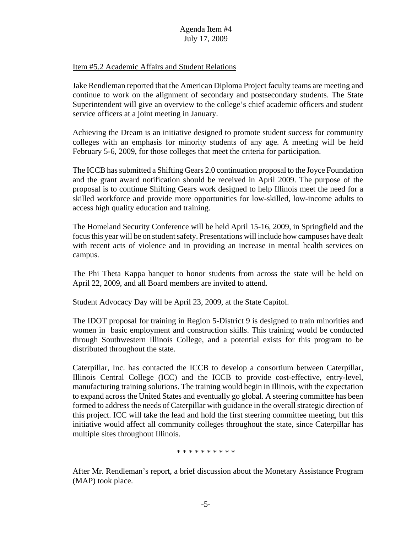## Item #5.2 Academic Affairs and Student Relations

Jake Rendleman reported that the American Diploma Project faculty teams are meeting and continue to work on the alignment of secondary and postsecondary students. The State Superintendent will give an overview to the college's chief academic officers and student service officers at a joint meeting in January.

Achieving the Dream is an initiative designed to promote student success for community colleges with an emphasis for minority students of any age. A meeting will be held February 5-6, 2009, for those colleges that meet the criteria for participation.

The ICCB has submitted a Shifting Gears 2.0 continuation proposal to the Joyce Foundation and the grant award notification should be received in April 2009. The purpose of the proposal is to continue Shifting Gears work designed to help Illinois meet the need for a skilled workforce and provide more opportunities for low-skilled, low-income adults to access high quality education and training.

The Homeland Security Conference will be held April 15-16, 2009, in Springfield and the focus this year will be on student safety. Presentations will include how campuses have dealt with recent acts of violence and in providing an increase in mental health services on campus.

The Phi Theta Kappa banquet to honor students from across the state will be held on April 22, 2009, and all Board members are invited to attend.

Student Advocacy Day will be April 23, 2009, at the State Capitol.

The IDOT proposal for training in Region 5-District 9 is designed to train minorities and women in basic employment and construction skills. This training would be conducted through Southwestern Illinois College, and a potential exists for this program to be distributed throughout the state.

Caterpillar, Inc. has contacted the ICCB to develop a consortium between Caterpillar, Illinois Central College (ICC) and the ICCB to provide cost-effective, entry-level, manufacturing training solutions. The training would begin in Illinois, with the expectation to expand across the United States and eventually go global. A steering committee has been formed to address the needs of Caterpillar with guidance in the overall strategic direction of this project. ICC will take the lead and hold the first steering committee meeting, but this initiative would affect all community colleges throughout the state, since Caterpillar has multiple sites throughout Illinois.

\* \* \* \* \* \* \* \* \* \*

After Mr. Rendleman's report, a brief discussion about the Monetary Assistance Program (MAP) took place.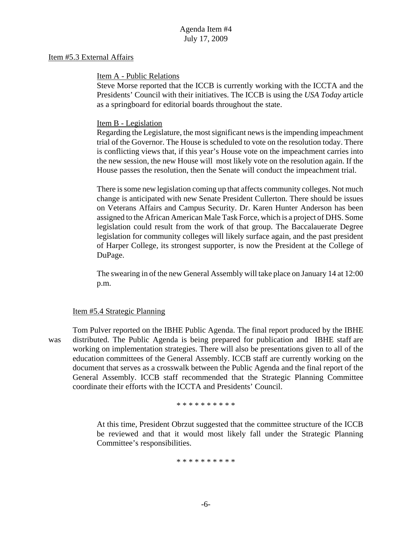### Item #5.3 External Affairs

### Item A - Public Relations

Steve Morse reported that the ICCB is currently working with the ICCTA and the Presidents' Council with their initiatives. The ICCB is using the *USA Today* article as a springboard for editorial boards throughout the state.

## Item B - Legislation

Regarding the Legislature, the most significant news is the impending impeachment trial of the Governor. The House is scheduled to vote on the resolution today. There is conflicting views that, if this year's House vote on the impeachment carries into the new session, the new House will most likely vote on the resolution again. If the House passes the resolution, then the Senate will conduct the impeachment trial.

There is some new legislation coming up that affects community colleges. Not much change is anticipated with new Senate President Cullerton. There should be issues on Veterans Affairs and Campus Security. Dr. Karen Hunter Anderson has been assigned to the African American Male Task Force, which is a project of DHS. Some legislation could result from the work of that group. The Baccalauerate Degree legislation for community colleges will likely surface again, and the past president of Harper College, its strongest supporter, is now the President at the College of DuPage.

The swearing in of the new General Assembly will take place on January 14 at 12:00 p.m.

### Item #5.4 Strategic Planning

Tom Pulver reported on the IBHE Public Agenda. The final report produced by the IBHE was distributed. The Public Agenda is being prepared for publication and IBHE staff are working on implementation strategies. There will also be presentations given to all of the education committees of the General Assembly. ICCB staff are currently working on the document that serves as a crosswalk between the Public Agenda and the final report of the General Assembly. ICCB staff recommended that the Strategic Planning Committee coordinate their efforts with the ICCTA and Presidents' Council.

\* \* \* \* \* \* \* \* \* \*

At this time, President Obrzut suggested that the committee structure of the ICCB be reviewed and that it would most likely fall under the Strategic Planning Committee's responsibilities.

\* \* \* \* \* \* \* \* \*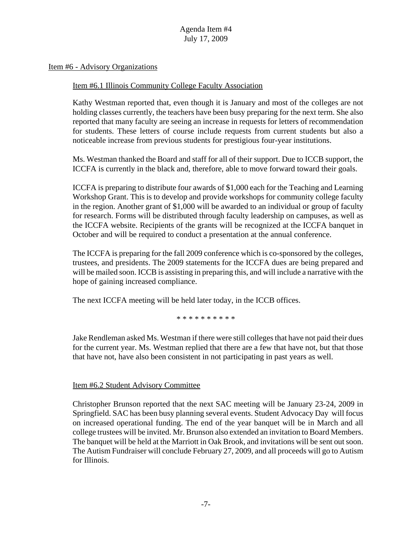Item #6 - Advisory Organizations

#### Item #6.1 Illinois Community College Faculty Association

Kathy Westman reported that, even though it is January and most of the colleges are not holding classes currently, the teachers have been busy preparing for the next term. She also reported that many faculty are seeing an increase in requests for letters of recommendation for students. These letters of course include requests from current students but also a noticeable increase from previous students for prestigious four-year institutions.

Ms. Westman thanked the Board and staff for all of their support. Due to ICCB support, the ICCFA is currently in the black and, therefore, able to move forward toward their goals.

ICCFA is preparing to distribute four awards of \$1,000 each for the Teaching and Learning Workshop Grant. This is to develop and provide workshops for community college faculty in the region. Another grant of \$1,000 will be awarded to an individual or group of faculty for research. Forms will be distributed through faculty leadership on campuses, as well as the ICCFA website. Recipients of the grants will be recognized at the ICCFA banquet in October and will be required to conduct a presentation at the annual conference.

The ICCFA is preparing for the fall 2009 conference which is co-sponsored by the colleges, trustees, and presidents. The 2009 statements for the ICCFA dues are being prepared and will be mailed soon. ICCB is assisting in preparing this, and will include a narrative with the hope of gaining increased compliance.

The next ICCFA meeting will be held later today, in the ICCB offices.

\* \* \* \* \* \* \* \* \* \*

Jake Rendleman asked Ms. Westman if there were still colleges that have not paid their dues for the current year. Ms. Westman replied that there are a few that have not, but that those that have not, have also been consistent in not participating in past years as well.

### Item #6.2 Student Advisory Committee

Christopher Brunson reported that the next SAC meeting will be January 23-24, 2009 in Springfield. SAC has been busy planning several events. Student Advocacy Day will focus on increased operational funding. The end of the year banquet will be in March and all college trustees will be invited. Mr. Brunson also extended an invitation to Board Members. The banquet will be held at the Marriott in Oak Brook, and invitations will be sent out soon. The Autism Fundraiser will conclude February 27, 2009, and all proceeds will go to Autism for Illinois.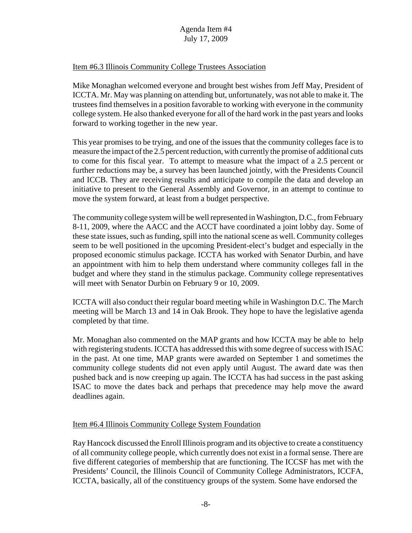## Item #6.3 Illinois Community College Trustees Association

Mike Monaghan welcomed everyone and brought best wishes from Jeff May, President of ICCTA. Mr. May was planning on attending but, unfortunately, was not able to make it. The trustees find themselves in a position favorable to working with everyone in the community college system. He also thanked everyone for all of the hard work in the past years and looks forward to working together in the new year.

This year promises to be trying, and one of the issues that the community colleges face is to measure the impact of the 2.5 percent reduction, with currently the promise of additional cuts to come for this fiscal year. To attempt to measure what the impact of a 2.5 percent or further reductions may be, a survey has been launched jointly, with the Presidents Council and ICCB. They are receiving results and anticipate to compile the data and develop an initiative to present to the General Assembly and Governor, in an attempt to continue to move the system forward, at least from a budget perspective.

The community college system will be well represented in Washington, D.C., from February 8-11, 2009, where the AACC and the ACCT have coordinated a joint lobby day. Some of these state issues, such as funding, spill into the national scene as well. Community colleges seem to be well positioned in the upcoming President-elect's budget and especially in the proposed economic stimulus package. ICCTA has worked with Senator Durbin, and have an appointment with him to help them understand where community colleges fall in the budget and where they stand in the stimulus package. Community college representatives will meet with Senator Durbin on February 9 or 10, 2009.

ICCTA will also conduct their regular board meeting while in Washington D.C. The March meeting will be March 13 and 14 in Oak Brook. They hope to have the legislative agenda completed by that time.

Mr. Monaghan also commented on the MAP grants and how ICCTA may be able to help with registering students. ICCTA has addressed this with some degree of success with ISAC in the past. At one time, MAP grants were awarded on September 1 and sometimes the community college students did not even apply until August. The award date was then pushed back and is now creeping up again. The ICCTA has had success in the past asking ISAC to move the dates back and perhaps that precedence may help move the award deadlines again.

## Item #6.4 Illinois Community College System Foundation

Ray Hancock discussed the Enroll Illinois program and its objective to create a constituency of all community college people, which currently does not exist in a formal sense. There are five different categories of membership that are functioning. The ICCSF has met with the Presidents' Council, the Illinois Council of Community College Administrators, ICCFA, ICCTA, basically, all of the constituency groups of the system. Some have endorsed the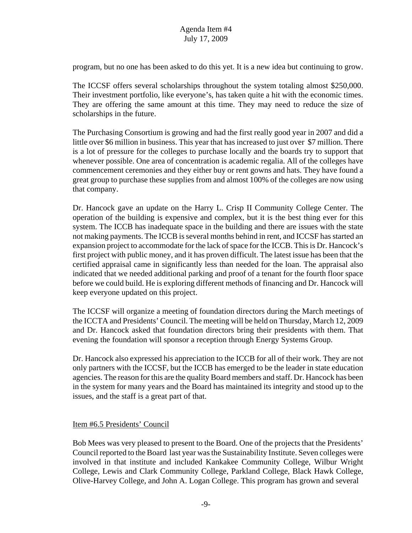program, but no one has been asked to do this yet. It is a new idea but continuing to grow.

The ICCSF offers several scholarships throughout the system totaling almost \$250,000. Their investment portfolio, like everyone's, has taken quite a hit with the economic times. They are offering the same amount at this time. They may need to reduce the size of scholarships in the future.

The Purchasing Consortium is growing and had the first really good year in 2007 and did a little over \$6 million in business. This year that has increased to just over \$7 million. There is a lot of pressure for the colleges to purchase locally and the boards try to support that whenever possible. One area of concentration is academic regalia. All of the colleges have commencement ceremonies and they either buy or rent gowns and hats. They have found a great group to purchase these supplies from and almost 100% of the colleges are now using that company.

Dr. Hancock gave an update on the Harry L. Crisp II Community College Center. The operation of the building is expensive and complex, but it is the best thing ever for this system. The ICCB has inadequate space in the building and there are issues with the state not making payments. The ICCB is several months behind in rent, and ICCSF has started an expansion project to accommodate for the lack of space for the ICCB. This is Dr. Hancock's first project with public money, and it has proven difficult. The latest issue has been that the certified appraisal came in significantly less than needed for the loan. The appraisal also indicated that we needed additional parking and proof of a tenant for the fourth floor space before we could build. He is exploring different methods of financing and Dr. Hancock will keep everyone updated on this project.

The ICCSF will organize a meeting of foundation directors during the March meetings of the ICCTA and Presidents' Council. The meeting will be held on Thursday, March 12, 2009 and Dr. Hancock asked that foundation directors bring their presidents with them. That evening the foundation will sponsor a reception through Energy Systems Group.

Dr. Hancock also expressed his appreciation to the ICCB for all of their work. They are not only partners with the ICCSF, but the ICCB has emerged to be the leader in state education agencies. The reason for this are the quality Board members and staff. Dr. Hancock has been in the system for many years and the Board has maintained its integrity and stood up to the issues, and the staff is a great part of that.

## Item #6.5 Presidents' Council

Bob Mees was very pleased to present to the Board. One of the projects that the Presidents' Council reported to the Board last year was the Sustainability Institute. Seven colleges were involved in that institute and included Kankakee Community College, Wilbur Wright College, Lewis and Clark Community College, Parkland College, Black Hawk College, Olive-Harvey College, and John A. Logan College. This program has grown and several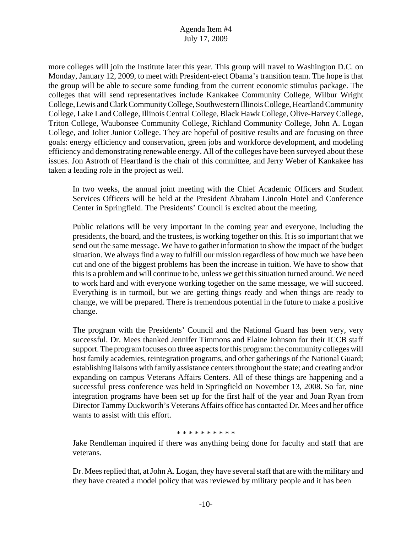more colleges will join the Institute later this year. This group will travel to Washington D.C. on Monday, January 12, 2009, to meet with President-elect Obama's transition team. The hope is that the group will be able to secure some funding from the current economic stimulus package. The colleges that will send representatives include Kankakee Community College, Wilbur Wright College, Lewis and Clark Community College, Southwestern Illinois College, Heartland Community College, Lake Land College, Illinois Central College, Black Hawk College, Olive-Harvey College, Triton College, Waubonsee Community College, Richland Community College, John A. Logan College, and Joliet Junior College. They are hopeful of positive results and are focusing on three goals: energy efficiency and conservation, green jobs and workforce development, and modeling efficiency and demonstrating renewable energy. All of the colleges have been surveyed about these issues. Jon Astroth of Heartland is the chair of this committee, and Jerry Weber of Kankakee has taken a leading role in the project as well.

In two weeks, the annual joint meeting with the Chief Academic Officers and Student Services Officers will be held at the President Abraham Lincoln Hotel and Conference Center in Springfield. The Presidents' Council is excited about the meeting.

Public relations will be very important in the coming year and everyone, including the presidents, the board, and the trustees, is working together on this. It is so important that we send out the same message. We have to gather information to show the impact of the budget situation. We always find a way to fulfill our mission regardless of how much we have been cut and one of the biggest problems has been the increase in tuition. We have to show that this is a problem and will continue to be, unless we get this situation turned around. We need to work hard and with everyone working together on the same message, we will succeed. Everything is in turmoil, but we are getting things ready and when things are ready to change, we will be prepared. There is tremendous potential in the future to make a positive change.

The program with the Presidents' Council and the National Guard has been very, very successful. Dr. Mees thanked Jennifer Timmons and Elaine Johnson for their ICCB staff support. The program focuses on three aspects for this program: the community colleges will host family academies, reintegration programs, and other gatherings of the National Guard; establishing liaisons with family assistance centers throughout the state; and creating and/or expanding on campus Veterans Affairs Centers. All of these things are happening and a successful press conference was held in Springfield on November 13, 2008. So far, nine integration programs have been set up for the first half of the year and Joan Ryan from Director Tammy Duckworth's Veterans Affairs office has contacted Dr. Mees and her office wants to assist with this effort.

#### \* \* \* \* \* \* \* \* \* \*

Jake Rendleman inquired if there was anything being done for faculty and staff that are veterans.

Dr. Mees replied that, at John A. Logan, they have several staff that are with the military and they have created a model policy that was reviewed by military people and it has been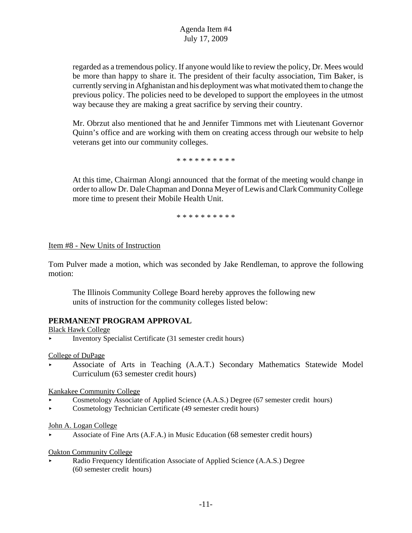regarded as a tremendous policy. If anyone would like to review the policy, Dr. Mees would be more than happy to share it. The president of their faculty association, Tim Baker, is currently serving in Afghanistan and his deployment was what motivated them to change the previous policy. The policies need to be developed to support the employees in the utmost way because they are making a great sacrifice by serving their country.

Mr. Obrzut also mentioned that he and Jennifer Timmons met with Lieutenant Governor Quinn's office and are working with them on creating access through our website to help veterans get into our community colleges.

\* \* \* \* \* \* \* \* \* \*

At this time, Chairman Alongi announced that the format of the meeting would change in order to allow Dr. Dale Chapman and Donna Meyer of Lewis and Clark Community College more time to present their Mobile Health Unit.

\* \* \* \* \* \* \* \* \* \*

### Item #8 - New Units of Instruction

Tom Pulver made a motion, which was seconded by Jake Rendleman, to approve the following motion:

The Illinois Community College Board hereby approves the following new units of instruction for the community colleges listed below:

### **PERMANENT PROGRAM APPROVAL**

Black Hawk College

< Inventory Specialist Certificate (31 semester credit hours)

College of DuPage

< Associate of Arts in Teaching (A.A.T.) Secondary Mathematics Statewide Model Curriculum (63 semester credit hours)

Kankakee Community College

- Cosmetology Associate of Applied Science (A.A.S.) Degree (67 semester credit hours)
- < Cosmetology Technician Certificate (49 semester credit hours)

### John A. Logan College

< Associate of Fine Arts (A.F.A.) in Music Education (68 semester credit hours)

#### Oakton Community College

Radio Frequency Identification Associate of Applied Science (A.A.S.) Degree (60 semester credit hours)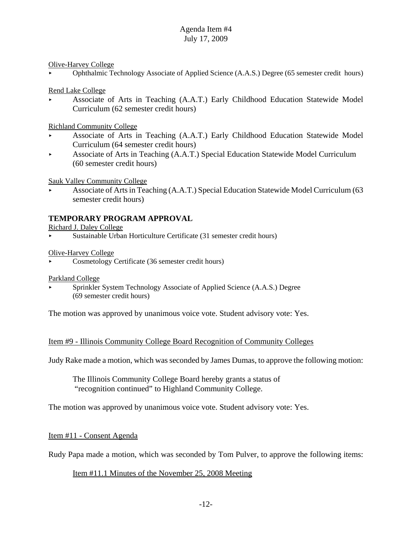Olive-Harvey College

< Ophthalmic Technology Associate of Applied Science (A.A.S.) Degree (65 semester credit hours)

Rend Lake College

< Associate of Arts in Teaching (A.A.T.) Early Childhood Education Statewide Model Curriculum (62 semester credit hours)

Richland Community College

- < Associate of Arts in Teaching (A.A.T.) Early Childhood Education Statewide Model Curriculum (64 semester credit hours)
- $\blacktriangleright$  Associate of Arts in Teaching (A.A.T.) Special Education Statewide Model Curriculum (60 semester credit hours)

Sauk Valley Community College

< Associate of Arts in Teaching (A.A.T.) Special Education Statewide Model Curriculum (63 semester credit hours)

## **TEMPORARY PROGRAM APPROVAL**

Richard J. Daley College

< Sustainable Urban Horticulture Certificate (31 semester credit hours)

Olive-Harvey College

< Cosmetology Certificate (36 semester credit hours)

Parkland College

Sprinkler System Technology Associate of Applied Science (A.A.S.) Degree (69 semester credit hours)

The motion was approved by unanimous voice vote. Student advisory vote: Yes.

### Item #9 - Illinois Community College Board Recognition of Community Colleges

Judy Rake made a motion, which was seconded by James Dumas, to approve the following motion:

The Illinois Community College Board hereby grants a status of "recognition continued" to Highland Community College.

The motion was approved by unanimous voice vote. Student advisory vote: Yes.

### Item #11 - Consent Agenda

Rudy Papa made a motion, which was seconded by Tom Pulver, to approve the following items:

### Item #11.1 Minutes of the November 25, 2008 Meeting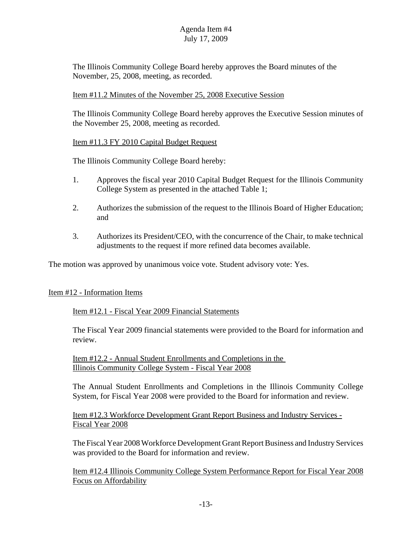The Illinois Community College Board hereby approves the Board minutes of the November, 25, 2008, meeting, as recorded.

## Item #11.2 Minutes of the November 25, 2008 Executive Session

The Illinois Community College Board hereby approves the Executive Session minutes of the November 25, 2008, meeting as recorded.

## Item #11.3 FY 2010 Capital Budget Request

The Illinois Community College Board hereby:

- 1. Approves the fiscal year 2010 Capital Budget Request for the Illinois Community College System as presented in the attached Table 1;
- 2. Authorizes the submission of the request to the Illinois Board of Higher Education; and
- 3. Authorizes its President/CEO, with the concurrence of the Chair, to make technical adjustments to the request if more refined data becomes available.

The motion was approved by unanimous voice vote. Student advisory vote: Yes.

### Item #12 - Information Items

Item #12.1 - Fiscal Year 2009 Financial Statements

The Fiscal Year 2009 financial statements were provided to the Board for information and review.

Item #12.2 - Annual Student Enrollments and Completions in the Illinois Community College System - Fiscal Year 2008

The Annual Student Enrollments and Completions in the Illinois Community College System, for Fiscal Year 2008 were provided to the Board for information and review.

Item #12.3 Workforce Development Grant Report Business and Industry Services - Fiscal Year 2008

The Fiscal Year 2008 Workforce Development Grant Report Business and Industry Services was provided to the Board for information and review.

Item #12.4 Illinois Community College System Performance Report for Fiscal Year 2008 Focus on Affordability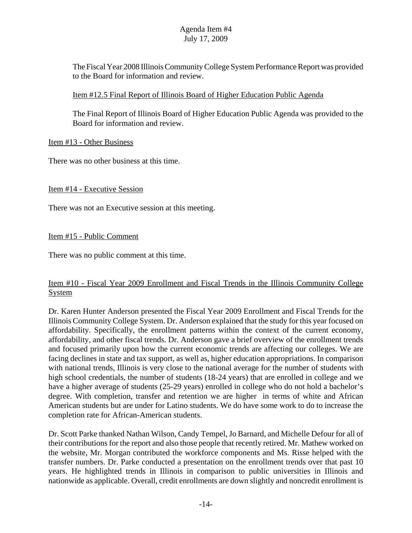The Fiscal Year 2008 Illinois Community College System Performance Report was provided to the Board for information and review.

## Item #12.5 Final Report of Illinois Board of Higher Education Public Agenda

The Final Report of Illinois Board of Higher Education Public Agenda was provided to the Board for information and review.

## Item #13 - Other Business

There was no other business at this time.

## Item #14 - Executive Session

There was not an Executive session at this meeting.

## Item #15 - Public Comment

There was no public comment at this time.

## Item #10 - Fiscal Year 2009 Enrollment and Fiscal Trends in the Illinois Community College System

Dr. Karen Hunter Anderson presented the Fiscal Year 2009 Enrollment and Fiscal Trends for the Illinois Community College System. Dr. Anderson explained that the study for this year focused on affordability. Specifically, the enrollment patterns within the context of the current economy, affordability, and other fiscal trends. Dr. Anderson gave a brief overview of the enrollment trends and focused primarily upon how the current economic trends are affecting our colleges. We are facing declines in state and tax support, as well as, higher education appropriations. In comparison with national trends, Illinois is very close to the national average for the number of students with high school credentials, the number of students (18-24 years) that are enrolled in college and we have a higher average of students (25-29 years) enrolled in college who do not hold a bachelor's degree. With completion, transfer and retention we are higher in terms of white and African American students but are under for Latino students. We do have some work to do to increase the completion rate for African-American students.

Dr. Scott Parke thanked Nathan Wilson, Candy Tempel, Jo Barnard, and Michelle Defour for all of their contributions for the report and also those people that recently retired. Mr. Mathew worked on the website, Mr. Morgan contributed the workforce components and Ms. Risse helped with the transfer numbers. Dr. Parke conducted a presentation on the enrollment trends over that past 10 years. He highlighted trends in Illinois in comparison to public universities in Illinois and nationwide as applicable. Overall, credit enrollments are down slightly and noncredit enrollment is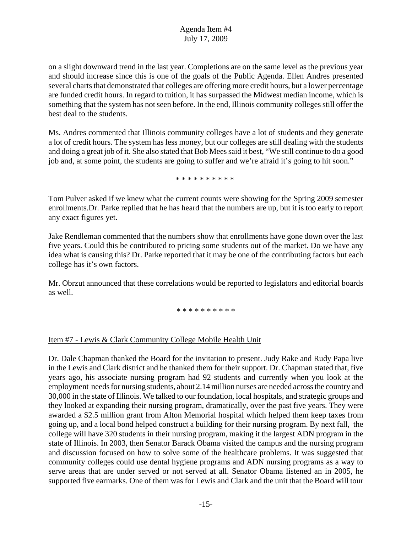on a slight downward trend in the last year. Completions are on the same level as the previous year and should increase since this is one of the goals of the Public Agenda. Ellen Andres presented several charts that demonstrated that colleges are offering more credit hours, but a lower percentage are funded credit hours. In regard to tuition, it has surpassed the Midwest median income, which is something that the system has not seen before. In the end, Illinois community colleges still offer the best deal to the students.

Ms. Andres commented that Illinois community colleges have a lot of students and they generate a lot of credit hours. The system has less money, but our colleges are still dealing with the students and doing a great job of it. She also stated that Bob Mees said it best, "We still continue to do a good job and, at some point, the students are going to suffer and we're afraid it's going to hit soon."

\* \* \* \* \* \* \* \* \* \*

Tom Pulver asked if we knew what the current counts were showing for the Spring 2009 semester enrollments.Dr. Parke replied that he has heard that the numbers are up, but it is too early to report any exact figures yet.

Jake Rendleman commented that the numbers show that enrollments have gone down over the last five years. Could this be contributed to pricing some students out of the market. Do we have any idea what is causing this? Dr. Parke reported that it may be one of the contributing factors but each college has it's own factors.

Mr. Obrzut announced that these correlations would be reported to legislators and editorial boards as well.

\* \* \* \* \* \* \* \* \* \*

## Item #7 - Lewis & Clark Community College Mobile Health Unit

Dr. Dale Chapman thanked the Board for the invitation to present. Judy Rake and Rudy Papa live in the Lewis and Clark district and he thanked them for their support. Dr. Chapman stated that, five years ago, his associate nursing program had 92 students and currently when you look at the employment needs for nursing students, about 2.14 million nurses are needed across the country and 30,000 in the state of Illinois. We talked to our foundation, local hospitals, and strategic groups and they looked at expanding their nursing program, dramatically, over the past five years. They were awarded a \$2.5 million grant from Alton Memorial hospital which helped them keep taxes from going up, and a local bond helped construct a building for their nursing program. By next fall, the college will have 320 students in their nursing program, making it the largest ADN program in the state of Illinois. In 2003, then Senator Barack Obama visited the campus and the nursing program and discussion focused on how to solve some of the healthcare problems. It was suggested that community colleges could use dental hygiene programs and ADN nursing programs as a way to serve areas that are under served or not served at all. Senator Obama listened an in 2005, he supported five earmarks. One of them was for Lewis and Clark and the unit that the Board will tour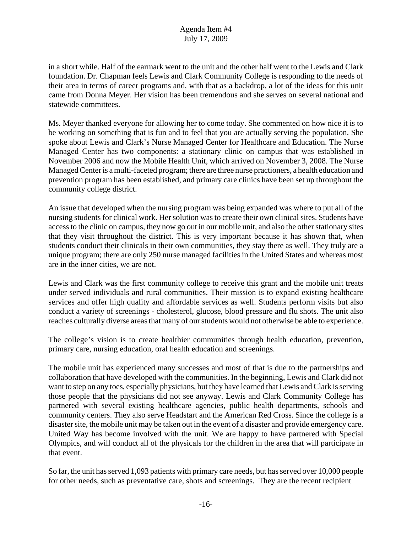in a short while. Half of the earmark went to the unit and the other half went to the Lewis and Clark foundation. Dr. Chapman feels Lewis and Clark Community College is responding to the needs of their area in terms of career programs and, with that as a backdrop, a lot of the ideas for this unit came from Donna Meyer. Her vision has been tremendous and she serves on several national and statewide committees.

Ms. Meyer thanked everyone for allowing her to come today. She commented on how nice it is to be working on something that is fun and to feel that you are actually serving the population. She spoke about Lewis and Clark's Nurse Managed Center for Healthcare and Education. The Nurse Managed Center has two components: a stationary clinic on campus that was established in November 2006 and now the Mobile Health Unit, which arrived on November 3, 2008. The Nurse Managed Center is a multi-faceted program; there are three nurse practioners, a health education and prevention program has been established, and primary care clinics have been set up throughout the community college district.

An issue that developed when the nursing program was being expanded was where to put all of the nursing students for clinical work. Her solution was to create their own clinical sites. Students have access to the clinic on campus, they now go out in our mobile unit, and also the other stationary sites that they visit throughout the district. This is very important because it has shown that, when students conduct their clinicals in their own communities, they stay there as well. They truly are a unique program; there are only 250 nurse managed facilities in the United States and whereas most are in the inner cities, we are not.

Lewis and Clark was the first community college to receive this grant and the mobile unit treats under served individuals and rural communities. Their mission is to expand existing healthcare services and offer high quality and affordable services as well. Students perform visits but also conduct a variety of screenings - cholesterol, glucose, blood pressure and flu shots. The unit also reaches culturally diverse areas that many of our students would not otherwise be able to experience.

The college's vision is to create healthier communities through health education, prevention, primary care, nursing education, oral health education and screenings.

The mobile unit has experienced many successes and most of that is due to the partnerships and collaboration that have developed with the communities. In the beginning, Lewis and Clark did not want to step on any toes, especially physicians, but they have learned that Lewis and Clark is serving those people that the physicians did not see anyway. Lewis and Clark Community College has partnered with several existing healthcare agencies, public health departments, schools and community centers. They also serve Headstart and the American Red Cross. Since the college is a disaster site, the mobile unit may be taken out in the event of a disaster and provide emergency care. United Way has become involved with the unit. We are happy to have partnered with Special Olympics, and will conduct all of the physicals for the children in the area that will participate in that event.

So far, the unit has served 1,093 patients with primary care needs, but has served over 10,000 people for other needs, such as preventative care, shots and screenings. They are the recent recipient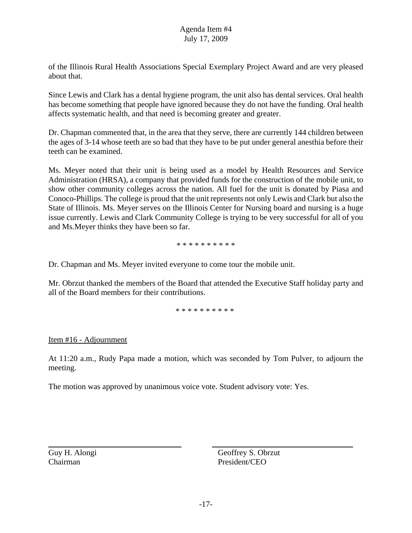of the Illinois Rural Health Associations Special Exemplary Project Award and are very pleased about that.

Since Lewis and Clark has a dental hygiene program, the unit also has dental services. Oral health has become something that people have ignored because they do not have the funding. Oral health affects systematic health, and that need is becoming greater and greater.

Dr. Chapman commented that, in the area that they serve, there are currently 144 children between the ages of 3-14 whose teeth are so bad that they have to be put under general anesthia before their teeth can be examined.

Ms. Meyer noted that their unit is being used as a model by Health Resources and Service Administration (HRSA), a company that provided funds for the construction of the mobile unit, to show other community colleges across the nation. All fuel for the unit is donated by Piasa and Conoco-Phillips. The college is proud that the unit represents not only Lewis and Clark but also the State of Illinois. Ms. Meyer serves on the Illinois Center for Nursing board and nursing is a huge issue currently. Lewis and Clark Community College is trying to be very successful for all of you and Ms.Meyer thinks they have been so far.

\* \* \* \* \* \* \* \* \* \*

Dr. Chapman and Ms. Meyer invited everyone to come tour the mobile unit.

Mr. Obrzut thanked the members of the Board that attended the Executive Staff holiday party and all of the Board members for their contributions.

\* \* \* \* \* \* \* \* \* \*

## Item #16 - Adjournment

At 11:20 a.m., Rudy Papa made a motion, which was seconded by Tom Pulver, to adjourn the meeting.

The motion was approved by unanimous voice vote. Student advisory vote: Yes.

Guy H. Alongi Geoffrey S. Obrzut Chairman President/CEO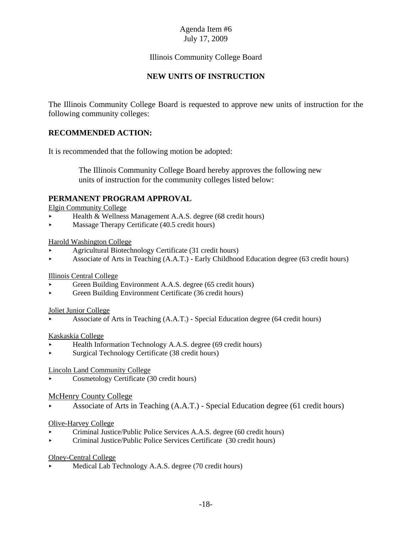## Illinois Community College Board

## **NEW UNITS OF INSTRUCTION**

The Illinois Community College Board is requested to approve new units of instruction for the following community colleges:

## **RECOMMENDED ACTION:**

It is recommended that the following motion be adopted:

 The Illinois Community College Board hereby approves the following new units of instruction for the community colleges listed below:

### **PERMANENT PROGRAM APPROVAL**

Elgin Community College

- Health & Wellness Management A.A.S. degree (68 credit hours)
- Massage Therapy Certificate (40.5 credit hours)

#### Harold Washington College

- < Agricultural Biotechnology Certificate (31 credit hours)
- < Associate of Arts in Teaching (A.A.T.) Early Childhood Education degree (63 credit hours)

#### Illinois Central College

- Green Building Environment A.A.S. degree (65 credit hours)
- < Green Building Environment Certificate (36 credit hours)

#### Joliet Junior College

< Associate of Arts in Teaching (A.A.T.) - Special Education degree (64 credit hours)

#### Kaskaskia College

- < Health Information Technology A.A.S. degree (69 credit hours)
- < Surgical Technology Certificate (38 credit hours)

#### Lincoln Land Community College

< Cosmetology Certificate (30 credit hours)

#### McHenry County College

< Associate of Arts in Teaching (A.A.T.) - Special Education degree (61 credit hours)

#### Olive-Harvey College

- < Criminal Justice/Public Police Services A.A.S. degree (60 credit hours)
- < Criminal Justice/Public Police Services Certificate (30 credit hours)

#### Olney-Central College

< Medical Lab Technology A.A.S. degree (70 credit hours)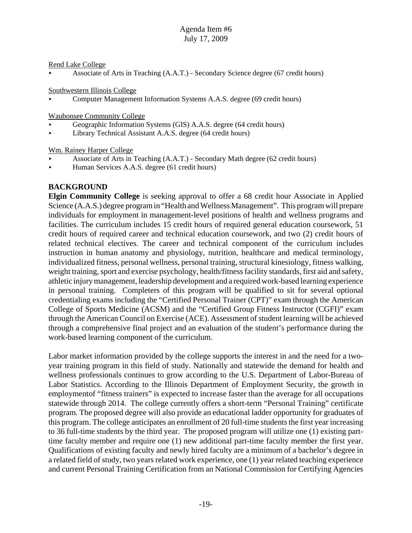Rend Lake College

< Associate of Arts in Teaching (A.A.T.) - Secondary Science degree (67 credit hours)

Southwestern Illinois College

< Computer Management Information Systems A.A.S. degree (69 credit hours)

Waubonsee Community College

- < Geographic Information Systems (GIS) A.A.S. degree (64 credit hours)
- < Library Technical Assistant A.A.S. degree (64 credit hours)

Wm. Rainey Harper College

- < Associate of Arts in Teaching (A.A.T.) Secondary Math degree (62 credit hours)
- < Human Services A.A.S. degree (61 credit hours)

# **BACKGROUND**

**Elgin Community College** is seeking approval to offer a 68 credit hour Associate in Applied Science (A.A.S.) degree program in "Health and Wellness Management". This program will prepare individuals for employment in management-level positions of health and wellness programs and facilities. The curriculum includes 15 credit hours of required general education coursework, 51 credit hours of required career and technical education coursework, and two (2) credit hours of related technical electives. The career and technical component of the curriculum includes instruction in human anatomy and physiology, nutrition, healthcare and medical terminology, individualized fitness, personal wellness, personal training, structural kinesiology, fitness walking, weight training, sport and exercise psychology, health/fitness facility standards, first aid and safety, athletic injury management, leadership development and a required work-based learning experience in personal training. Completers of this program will be qualified to sit for several optional credentialing exams including the "Certified Personal Trainer (CPT)" exam through the American College of Sports Medicine (ACSM) and the "Certified Group Fitness Instructor (CGFI)" exam through the American Council on Exercise (ACE). Assessment of student learning will be achieved through a comprehensive final project and an evaluation of the student's performance during the work-based learning component of the curriculum.

Labor market information provided by the college supports the interest in and the need for a twoyear training program in this field of study. Nationally and statewide the demand for health and wellness professionals continues to grow according to the U.S. Department of Labor-Bureau of Labor Statistics. According to the Illinois Department of Employment Security, the growth in employmentof "fitness trainers" is expected to increase faster than the average for all occupations statewide through 2014. The college currently offers a short-term "Personal Training" certificate program. The proposed degree will also provide an educational ladder opportunity for graduates of this program. The college anticipates an enrollment of 20 full-time students the first year increasing to 36 full-time students by the third year. The proposed program will utilize one (1) existing parttime faculty member and require one (1) new additional part-time faculty member the first year. Qualifications of existing faculty and newly hired faculty are a minimum of a bachelor's degree in a related field of study, two years related work experience, one (1) year related teaching experience and current Personal Training Certification from an National Commission for Certifying Agencies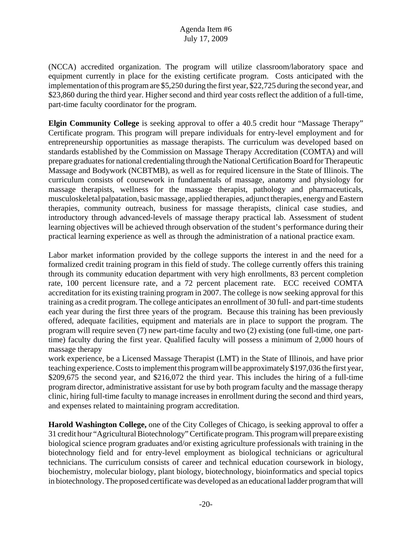(NCCA) accredited organization. The program will utilize classroom/laboratory space and equipment currently in place for the existing certificate program. Costs anticipated with the implementation of this program are \$5,250 during the first year, \$22,725 during the second year, and \$23,860 during the third year. Higher second and third year costs reflect the addition of a full-time, part-time faculty coordinator for the program.

**Elgin Community College** is seeking approval to offer a 40.5 credit hour "Massage Therapy" Certificate program. This program will prepare individuals for entry-level employment and for entrepreneurship opportunities as massage therapists. The curriculum was developed based on standards established by the Commission on Massage Therapy Accreditation (COMTA) and will prepare graduates for national credentialing through the National Certification Board for Therapeutic Massage and Bodywork (NCBTMB), as well as for required licensure in the State of Illinois. The curriculum consists of coursework in fundamentals of massage, anatomy and physiology for massage therapists, wellness for the massage therapist, pathology and pharmaceuticals, musculoskeletal palpatation, basic massage, applied therapies, adjunct therapies, energy and Eastern therapies, community outreach, business for massage therapists, clinical case studies, and introductory through advanced-levels of massage therapy practical lab. Assessment of student learning objectives will be achieved through observation of the student's performance during their practical learning experience as well as through the administration of a national practice exam.

Labor market information provided by the college supports the interest in and the need for a formalized credit training program in this field of study. The college currently offers this training through its community education department with very high enrollments, 83 percent completion rate, 100 percent licensure rate, and a 72 percent placement rate. ECC received COMTA accreditation for its existing training program in 2007. The college is now seeking approval for this training as a credit program. The college anticipates an enrollment of 30 full- and part-time students each year during the first three years of the program. Because this training has been previously offered, adequate facilities, equipment and materials are in place to support the program. The program will require seven (7) new part-time faculty and two (2) existing (one full-time, one parttime) faculty during the first year. Qualified faculty will possess a minimum of 2,000 hours of massage therapy

work experience, be a Licensed Massage Therapist (LMT) in the State of Illinois, and have prior teaching experience. Costs to implement this program will be approximately \$197,036 the first year, \$209,675 the second year, and \$216,072 the third year. This includes the hiring of a full-time program director, administrative assistant for use by both program faculty and the massage therapy clinic, hiring full-time faculty to manage increases in enrollment during the second and third years, and expenses related to maintaining program accreditation.

**Harold Washington College,** one of the City Colleges of Chicago, is seeking approval to offer a 31 credit hour "Agricultural Biotechnology" Certificate program. This program will prepare existing biological science program graduates and/or existing agriculture professionals with training in the biotechnology field and for entry-level employment as biological technicians or agricultural technicians. The curriculum consists of career and technical education coursework in biology, biochemistry, molecular biology, plant biology, biotechnology, bioinformatics and special topics in biotechnology. The proposed certificate was developed as an educational ladder program that will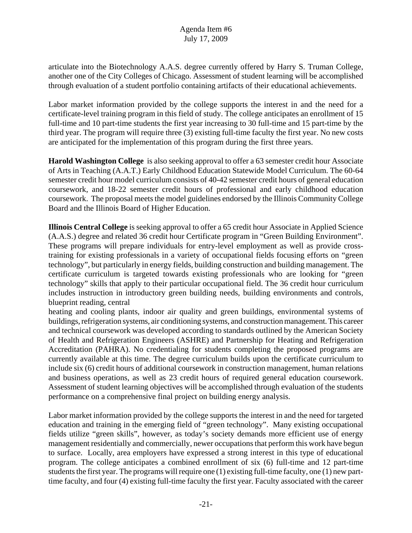articulate into the Biotechnology A.A.S. degree currently offered by Harry S. Truman College, another one of the City Colleges of Chicago. Assessment of student learning will be accomplished through evaluation of a student portfolio containing artifacts of their educational achievements.

Labor market information provided by the college supports the interest in and the need for a certificate-level training program in this field of study. The college anticipates an enrollment of 15 full-time and 10 part-time students the first year increasing to 30 full-time and 15 part-time by the third year. The program will require three (3) existing full-time faculty the first year. No new costs are anticipated for the implementation of this program during the first three years.

**Harold Washington College** is also seeking approval to offer a 63 semester credit hour Associate of Arts in Teaching (A.A.T.) Early Childhood Education Statewide Model Curriculum. The 60-64 semester credit hour model curriculum consists of 40-42 semester credit hours of general education coursework, and 18-22 semester credit hours of professional and early childhood education coursework. The proposal meets the model guidelines endorsed by the Illinois Community College Board and the Illinois Board of Higher Education.

**Illinois Central College** is seeking approval to offer a 65 credit hour Associate in Applied Science (A.A.S.) degree and related 36 credit hour Certificate program in "Green Building Environment". These programs will prepare individuals for entry-level employment as well as provide crosstraining for existing professionals in a variety of occupational fields focusing efforts on "green technology", but particularly in energy fields, building construction and building management. The certificate curriculum is targeted towards existing professionals who are looking for "green technology" skills that apply to their particular occupational field. The 36 credit hour curriculum includes instruction in introductory green building needs, building environments and controls, blueprint reading, central

heating and cooling plants, indoor air quality and green buildings, environmental systems of buildings, refrigeration systems, air conditioning systems, and construction management. This career and technical coursework was developed according to standards outlined by the American Society of Health and Refrigeration Engineers (ASHRE) and Partnership for Heating and Refrigeration Accreditation (PAHRA). No credentialing for students completing the proposed programs are currently available at this time. The degree curriculum builds upon the certificate curriculum to include six (6) credit hours of additional coursework in construction management, human relations and business operations, as well as 23 credit hours of required general education coursework. Assessment of student learning objectives will be accomplished through evaluation of the students performance on a comprehensive final project on building energy analysis.

Labor market information provided by the college supports the interest in and the need for targeted education and training in the emerging field of "green technology". Many existing occupational fields utilize "green skills", however, as today's society demands more efficient use of energy management residentially and commercially, newer occupations that perform this work have begun to surface. Locally, area employers have expressed a strong interest in this type of educational program. The college anticipates a combined enrollment of six (6) full-time and 12 part-time students the first year. The programs will require one (1) existing full-time faculty, one (1) new parttime faculty, and four (4) existing full-time faculty the first year. Faculty associated with the career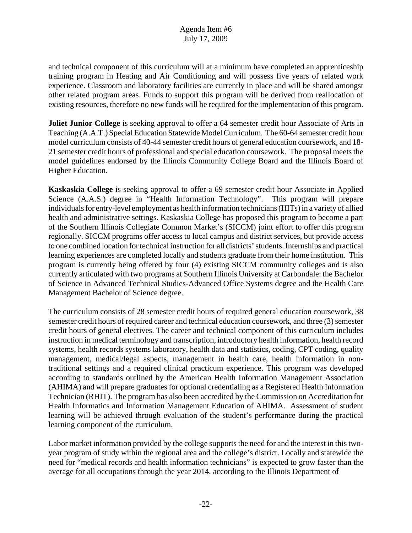and technical component of this curriculum will at a minimum have completed an apprenticeship training program in Heating and Air Conditioning and will possess five years of related work experience. Classroom and laboratory facilities are currently in place and will be shared amongst other related program areas. Funds to support this program will be derived from reallocation of existing resources, therefore no new funds will be required for the implementation of this program.

**Joliet Junior College** is seeking approval to offer a 64 semester credit hour Associate of Arts in Teaching (A.A.T.) Special Education Statewide Model Curriculum. The 60-64 semester credit hour model curriculum consists of 40-44 semester credit hours of general education coursework, and 18- 21 semester credit hours of professional and special education coursework. The proposal meets the model guidelines endorsed by the Illinois Community College Board and the Illinois Board of Higher Education.

**Kaskaskia College** is seeking approval to offer a 69 semester credit hour Associate in Applied Science (A.A.S.) degree in "Health Information Technology". This program will prepare individuals for entry-level employment as health information technicians (HITs) in a variety of allied health and administrative settings. Kaskaskia College has proposed this program to become a part of the Southern Illinois Collegiate Common Market's (SICCM) joint effort to offer this program regionally. SICCM programs offer access to local campus and district services, but provide access to one combined location for technical instruction for all districts' students. Internships and practical learning experiences are completed locally and students graduate from their home institution. This program is currently being offered by four (4) existing SICCM community colleges and is also currently articulated with two programs at Southern Illinois University at Carbondale: the Bachelor of Science in Advanced Technical Studies-Advanced Office Systems degree and the Health Care Management Bachelor of Science degree.

The curriculum consists of 28 semester credit hours of required general education coursework, 38 semester credit hours of required career and technical education coursework, and three (3) semester credit hours of general electives. The career and technical component of this curriculum includes instruction in medical terminology and transcription, introductory health information, health record systems, health records systems laboratory, health data and statistics, coding, CPT coding, quality management, medical/legal aspects, management in health care, health information in nontraditional settings and a required clinical practicum experience. This program was developed according to standards outlined by the American Health Information Management Association (AHIMA) and will prepare graduates for optional credentialing as a Registered Health Information Technician (RHIT). The program has also been accredited by the Commission on Accreditation for Health Informatics and Information Management Education of AHIMA. Assessment of student learning will be achieved through evaluation of the student's performance during the practical learning component of the curriculum.

Labor market information provided by the college supports the need for and the interest in this twoyear program of study within the regional area and the college's district. Locally and statewide the need for "medical records and health information technicians" is expected to grow faster than the average for all occupations through the year 2014, according to the Illinois Department of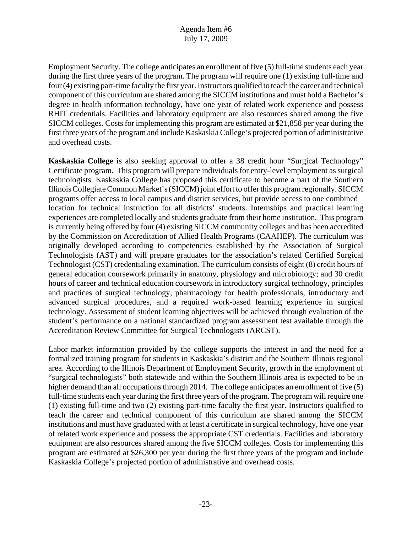Employment Security. The college anticipates an enrollment of five (5) full-time students each year during the first three years of the program. The program will require one (1) existing full-time and four (4) existing part-time faculty the first year. Instructors qualified to teach the career and technical component of this curriculum are shared among the SICCM institutions and must hold a Bachelor's degree in health information technology, have one year of related work experience and possess RHIT credentials. Facilities and laboratory equipment are also resources shared among the five SICCM colleges. Costs for implementing this program are estimated at \$21,858 per year during the first three years of the program and include Kaskaskia College's projected portion of administrative and overhead costs.

**Kaskaskia College** is also seeking approval to offer a 38 credit hour "Surgical Technology" Certificate program. This program will prepare individuals for entry-level employment as surgical technologists. Kaskaskia College has proposed this certificate to become a part of the Southern Illinois Collegiate Common Market's (SICCM) joint effort to offer this program regionally. SICCM programs offer access to local campus and district services, but provide access to one combined location for technical instruction for all districts' students. Internships and practical learning experiences are completed locally and students graduate from their home institution. This program is currently being offered by four (4) existing SICCM community colleges and has been accredited by the Commission on Accreditation of Allied Health Programs (CAAHEP). The curriculum was originally developed according to competencies established by the Association of Surgical Technologists (AST) and will prepare graduates for the association's related Certified Surgical Technologist (CST) credentialing examination. The curriculum consists of eight (8) credit hours of general education coursework primarily in anatomy, physiology and microbiology; and 30 credit hours of career and technical education coursework in introductory surgical technology, principles and practices of surgical technology, pharmacology for health professionals, introductory and advanced surgical procedures, and a required work-based learning experience in surgical technology. Assessment of student learning objectives will be achieved through evaluation of the student's performance on a national standardized program assessment test available through the Accreditation Review Committee for Surgical Technologists (ARCST).

Labor market information provided by the college supports the interest in and the need for a formalized training program for students in Kaskaskia's district and the Southern Illinois regional area. According to the Illinois Department of Employment Security, growth in the employment of "surgical technologists" both statewide and within the Southern Illinois area is expected to be in higher demand than all occupations through 2014. The college anticipates an enrollment of five (5) full-time students each year during the first three years of the program. The program will require one (1) existing full-time and two (2) existing part-time faculty the first year. Instructors qualified to teach the career and technical component of this curriculum are shared among the SICCM institutions and must have graduated with at least a certificate in surgical technology, have one year of related work experience and possess the appropriate CST credentials. Facilities and laboratory equipment are also resources shared among the five SICCM colleges. Costs for implementing this program are estimated at \$26,300 per year during the first three years of the program and include Kaskaskia College's projected portion of administrative and overhead costs.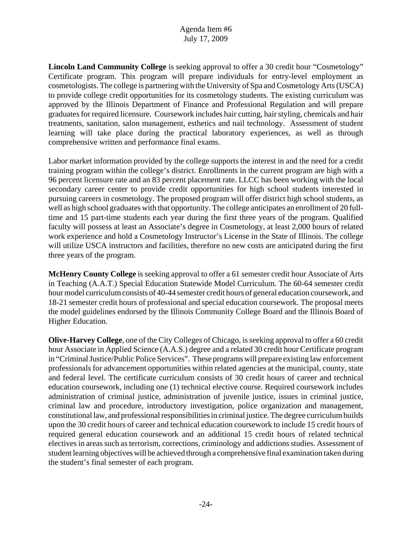**Lincoln Land Community College** is seeking approval to offer a 30 credit hour "Cosmetology" Certificate program. This program will prepare individuals for entry-level employment as cosmetologists. The college is partnering with the University of Spa and Cosmetology Arts (USCA) to provide college credit opportunities for its cosmetology students. The existing curriculum was approved by the Illinois Department of Finance and Professional Regulation and will prepare graduates for required licensure. Coursework includes hair cutting, hair styling, chemicals and hair treatments, sanitation, salon management, esthetics and nail technology. Assessment of student learning will take place during the practical laboratory experiences, as well as through comprehensive written and performance final exams.

Labor market information provided by the college supports the interest in and the need for a credit training program within the college's district. Enrollments in the current program are high with a 96 percent licensure rate and an 83 percent placement rate. LLCC has been working with the local secondary career center to provide credit opportunities for high school students interested in pursuing careers in cosmetology. The proposed program will offer district high school students, as well as high school graduates with that opportunity. The college anticipates an enrollment of 20 fulltime and 15 part-time students each year during the first three years of the program. Qualified faculty will possess at least an Associate's degree in Cosmetology, at least 2,000 hours of related work experience and hold a Cosmetology Instructor's License in the State of Illinois. The college will utilize USCA instructors and facilities, therefore no new costs are anticipated during the first three years of the program.

**McHenry County College** is seeking approval to offer a 61 semester credit hour Associate of Arts in Teaching (A.A.T.) Special Education Statewide Model Curriculum. The 60-64 semester credit hour model curriculum consists of 40-44 semester credit hours of general education coursework, and 18-21 semester credit hours of professional and special education coursework. The proposal meets the model guidelines endorsed by the Illinois Community College Board and the Illinois Board of Higher Education.

**Olive-Harvey College**, one of the City Colleges of Chicago, is seeking approval to offer a 60 credit hour Associate in Applied Science (A.A.S.) degree and a related 30 credit hour Certificate program in "Criminal Justice/Public Police Services". These programs will prepare existing law enforcement professionals for advancement opportunities within related agencies at the municipal, county, state and federal level. The certificate curriculum consists of 30 credit hours of career and technical education coursework, including one (1) technical elective course. Required coursework includes administration of criminal justice, administration of juvenile justice, issues in criminal justice, criminal law and procedure, introductory investigation, police organization and management, constitutional law, and professional responsibilities in criminal justice. The degree curriculum builds upon the 30 credit hours of career and technical education coursework to include 15 credit hours of required general education coursework and an additional 15 credit hours of related technical electives in areas such as terrorism, corrections, criminology and addictions studies. Assessment of student learning objectives will be achieved through a comprehensive final examination taken during the student's final semester of each program.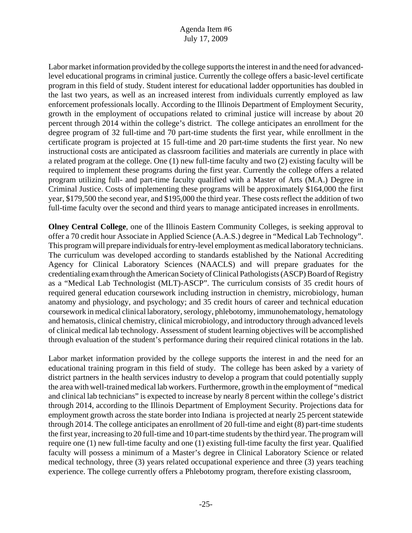Labor market information provided by the college supports the interest in and the need for advancedlevel educational programs in criminal justice. Currently the college offers a basic-level certificate program in this field of study. Student interest for educational ladder opportunities has doubled in the last two years, as well as an increased interest from individuals currently employed as law enforcement professionals locally. According to the Illinois Department of Employment Security, growth in the employment of occupations related to criminal justice will increase by about 20 percent through 2014 within the college's district. The college anticipates an enrollment for the degree program of 32 full-time and 70 part-time students the first year, while enrollment in the certificate program is projected at 15 full-time and 20 part-time students the first year. No new instructional costs are anticipated as classroom facilities and materials are currently in place with a related program at the college. One (1) new full-time faculty and two (2) existing faculty will be required to implement these programs during the first year. Currently the college offers a related program utilizing full- and part-time faculty qualified with a Master of Arts (M.A.) Degree in Criminal Justice. Costs of implementing these programs will be approximately \$164,000 the first year, \$179,500 the second year, and \$195,000 the third year. These costs reflect the addition of two full-time faculty over the second and third years to manage anticipated increases in enrollments.

**Olney Central College**, one of the Illinois Eastern Community Colleges, is seeking approval to offer a 70 credit hour Associate in Applied Science (A.A.S.) degree in "Medical Lab Technology". This program will prepare individuals for entry-level employment as medical laboratory technicians. The curriculum was developed according to standards established by the National Accrediting Agency for Clinical Laboratory Sciences (NAACLS) and will prepare graduates for the credentialing exam through the American Society of Clinical Pathologists (ASCP) Board of Registry as a "Medical Lab Technologist (MLT)-ASCP". The curriculum consists of 35 credit hours of required general education coursework including instruction in chemistry, microbiology, human anatomy and physiology, and psychology; and 35 credit hours of career and technical education coursework in medical clinical laboratory, serology, phlebotomy, immunohematology, hematology and hematosis, clinical chemistry, clinical microbiology, and introductory through advanced levels of clinical medical lab technology. Assessment of student learning objectives will be accomplished through evaluation of the student's performance during their required clinical rotations in the lab.

Labor market information provided by the college supports the interest in and the need for an educational training program in this field of study. The college has been asked by a variety of district partners in the health services industry to develop a program that could potentially supply the area with well-trained medical lab workers. Furthermore, growth in the employment of "medical and clinical lab technicians" is expected to increase by nearly 8 percent within the college's district through 2014, according to the Illinois Department of Employment Security. Projections data for employment growth across the state border into Indiana is projected at nearly 25 percent statewide through 2014. The college anticipates an enrollment of 20 full-time and eight (8) part-time students the first year, increasing to 20 full-time and 10 part-time students by the third year. The program will require one (1) new full-time faculty and one (1) existing full-time faculty the first year. Qualified faculty will possess a minimum of a Master's degree in Clinical Laboratory Science or related medical technology, three (3) years related occupational experience and three (3) years teaching experience. The college currently offers a Phlebotomy program, therefore existing classroom,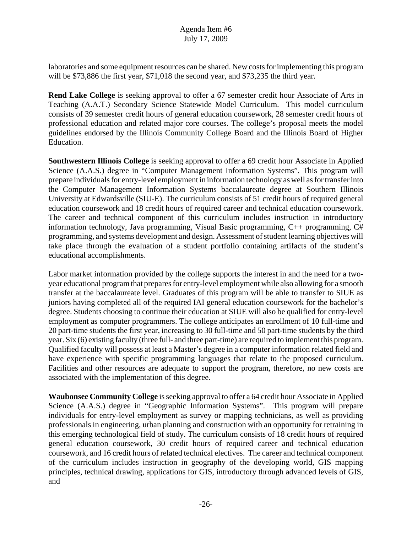laboratories and some equipment resources can be shared. New costs for implementing this program will be \$73,886 the first year, \$71,018 the second year, and \$73,235 the third year.

**Rend Lake College** is seeking approval to offer a 67 semester credit hour Associate of Arts in Teaching (A.A.T.) Secondary Science Statewide Model Curriculum. This model curriculum consists of 39 semester credit hours of general education coursework, 28 semester credit hours of professional education and related major core courses. The college's proposal meets the model guidelines endorsed by the Illinois Community College Board and the Illinois Board of Higher Education.

**Southwestern Illinois College** is seeking approval to offer a 69 credit hour Associate in Applied Science (A.A.S.) degree in "Computer Management Information Systems". This program will prepare individuals for entry-level employment in information technology as well as for transfer into the Computer Management Information Systems baccalaureate degree at Southern Illinois University at Edwardsville (SIU-E). The curriculum consists of 51 credit hours of required general education coursework and 18 credit hours of required career and technical education coursework. The career and technical component of this curriculum includes instruction in introductory information technology, Java programming, Visual Basic programming, C++ programming, C# programming, and systems development and design. Assessment of student learning objectives will take place through the evaluation of a student portfolio containing artifacts of the student's educational accomplishments.

Labor market information provided by the college supports the interest in and the need for a twoyear educational program that prepares for entry-level employment while also allowing for a smooth transfer at the baccalaureate level. Graduates of this program will be able to transfer to SIUE as juniors having completed all of the required IAI general education coursework for the bachelor's degree. Students choosing to continue their education at SIUE will also be qualified for entry-level employment as computer programmers. The college anticipates an enrollment of 10 full-time and 20 part-time students the first year, increasing to 30 full-time and 50 part-time students by the third year. Six (6) existing faculty (three full- and three part-time) are required to implement this program. Qualified faculty will possess at least a Master's degree in a computer information related field and have experience with specific programming languages that relate to the proposed curriculum. Facilities and other resources are adequate to support the program, therefore, no new costs are associated with the implementation of this degree.

**Waubonsee Community College** is seeking approval to offer a 64 credit hour Associate in Applied Science (A.A.S.) degree in "Geographic Information Systems". This program will prepare individuals for entry-level employment as survey or mapping technicians, as well as providing professionals in engineering, urban planning and construction with an opportunity for retraining in this emerging technological field of study. The curriculum consists of 18 credit hours of required general education coursework, 30 credit hours of required career and technical education coursework, and 16 credit hours of related technical electives. The career and technical component of the curriculum includes instruction in geography of the developing world, GIS mapping principles, technical drawing, applications for GIS, introductory through advanced levels of GIS, and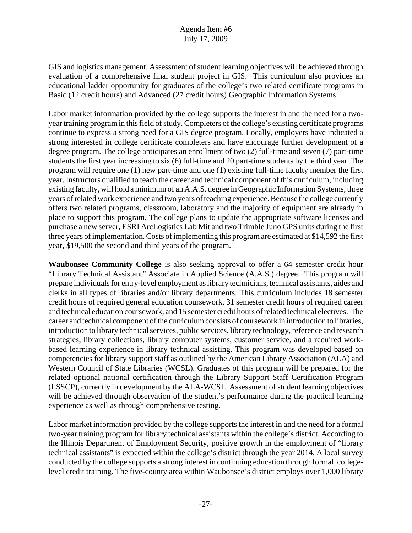GIS and logistics management. Assessment of student learning objectives will be achieved through evaluation of a comprehensive final student project in GIS. This curriculum also provides an educational ladder opportunity for graduates of the college's two related certificate programs in Basic (12 credit hours) and Advanced (27 credit hours) Geographic Information Systems.

Labor market information provided by the college supports the interest in and the need for a twoyear training program in this field of study. Completers of the college's existing certificate programs continue to express a strong need for a GIS degree program. Locally, employers have indicated a strong interested in college certificate completers and have encourage further development of a degree program. The college anticipates an enrollment of two (2) full-time and seven (7) part-time students the first year increasing to six (6) full-time and 20 part-time students by the third year. The program will require one (1) new part-time and one (1) existing full-time faculty member the first year. Instructors qualified to teach the career and technical component of this curriculum, including existing faculty, will hold a minimum of an A.A.S. degree in Geographic Information Systems, three years of related work experience and two years of teaching experience. Because the college currently offers two related programs, classroom, laboratory and the majority of equipment are already in place to support this program. The college plans to update the appropriate software licenses and purchase a new server, ESRI ArcLogistics Lab Mit and two Trimble Juno GPS units during the first three years of implementation. Costs of implementing this program are estimated at \$14,592 the first year, \$19,500 the second and third years of the program.

**Waubonsee Community College** is also seeking approval to offer a 64 semester credit hour "Library Technical Assistant" Associate in Applied Science (A.A.S.) degree. This program will prepare individuals for entry-level employment as library technicians, technical assistants, aides and clerks in all types of libraries and/or library departments. This curriculum includes 18 semester credit hours of required general education coursework, 31 semester credit hours of required career and technical education coursework, and 15 semester credit hours of related technical electives. The career and technical component of the curriculum consists of coursework in introduction to libraries, introduction to library technical services, public services, library technology, reference and research strategies, library collections, library computer systems, customer service, and a required workbased learning experience in library technical assisting. This program was developed based on competencies for library support staff as outlined by the American Library Association (ALA) and Western Council of State Libraries (WCSL). Graduates of this program will be prepared for the related optional national certification through the Library Support Staff Certification Program (LSSCP), currently in development by the ALA-WCSL. Assessment of student learning objectives will be achieved through observation of the student's performance during the practical learning experience as well as through comprehensive testing.

Labor market information provided by the college supports the interest in and the need for a formal two-year training program for library technical assistants within the college's district. According to the Illinois Department of Employment Security, positive growth in the employment of "library technical assistants" is expected within the college's district through the year 2014. A local survey conducted by the college supports a strong interest in continuing education through formal, collegelevel credit training. The five-county area within Waubonsee's district employs over 1,000 library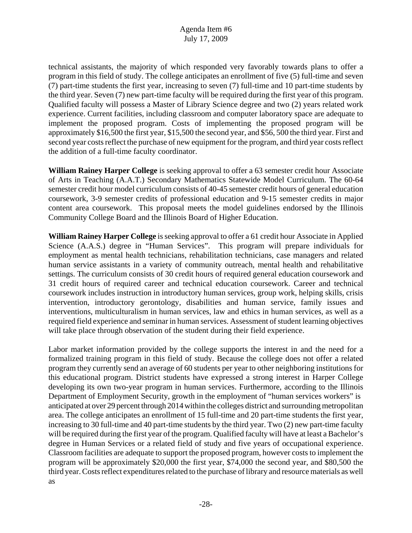technical assistants, the majority of which responded very favorably towards plans to offer a program in this field of study. The college anticipates an enrollment of five (5) full-time and seven (7) part-time students the first year, increasing to seven (7) full-time and 10 part-time students by the third year. Seven (7) new part-time faculty will be required during the first year of this program. Qualified faculty will possess a Master of Library Science degree and two (2) years related work experience. Current facilities, including classroom and computer laboratory space are adequate to implement the proposed program. Costs of implementing the proposed program will be approximately \$16,500 the first year, \$15,500 the second year, and \$56, 500 the third year. First and second year costs reflect the purchase of new equipment for the program, and third year costs reflect the addition of a full-time faculty coordinator.

**William Rainey Harper College** is seeking approval to offer a 63 semester credit hour Associate of Arts in Teaching (A.A.T.) Secondary Mathematics Statewide Model Curriculum. The 60-64 semester credit hour model curriculum consists of 40-45 semester credit hours of general education coursework, 3-9 semester credits of professional education and 9-15 semester credits in major content area coursework. This proposal meets the model guidelines endorsed by the Illinois Community College Board and the Illinois Board of Higher Education.

**William Rainey Harper College** is seeking approval to offer a 61 credit hour Associate in Applied Science (A.A.S.) degree in "Human Services". This program will prepare individuals for employment as mental health technicians, rehabilitation technicians, case managers and related human service assistants in a variety of community outreach, mental health and rehabilitative settings. The curriculum consists of 30 credit hours of required general education coursework and 31 credit hours of required career and technical education coursework. Career and technical coursework includes instruction in introductory human services, group work, helping skills, crisis intervention, introductory gerontology, disabilities and human service, family issues and interventions, multiculturalism in human services, law and ethics in human services, as well as a required field experience and seminar in human services. Assessment of student learning objectives will take place through observation of the student during their field experience.

Labor market information provided by the college supports the interest in and the need for a formalized training program in this field of study. Because the college does not offer a related program they currently send an average of 60 students per year to other neighboring institutions for this educational program. District students have expressed a strong interest in Harper College developing its own two-year program in human services. Furthermore, according to the Illinois Department of Employment Security, growth in the employment of "human services workers" is anticipated at over 29 percent through 2014 within the colleges district and surrounding metropolitan area. The college anticipates an enrollment of 15 full-time and 20 part-time students the first year, increasing to 30 full-time and 40 part-time students by the third year. Two (2) new part-time faculty will be required during the first year of the program. Qualified faculty will have at least a Bachelor's degree in Human Services or a related field of study and five years of occupational experience. Classroom facilities are adequate to support the proposed program, however costs to implement the program will be approximately \$20,000 the first year, \$74,000 the second year, and \$80,500 the third year. Costs reflect expenditures related to the purchase of library and resource materials as well as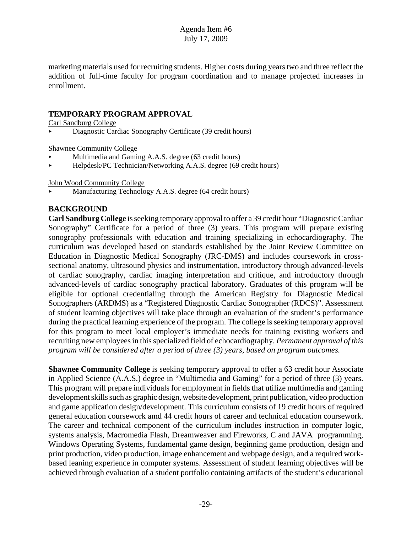marketing materials used for recruiting students. Higher costs during years two and three reflect the addition of full-time faculty for program coordination and to manage projected increases in enrollment.

## **TEMPORARY PROGRAM APPROVAL**

Carl Sandburg College

< Diagnostic Cardiac Sonography Certificate (39 credit hours)

Shawnee Community College

- Multimedia and Gaming A.A.S. degree (63 credit hours)
- ▶ Helpdesk/PC Technician/Networking A.A.S. degree (69 credit hours)

John Wood Community College

< Manufacturing Technology A.A.S. degree (64 credit hours)

## **BACKGROUND**

**Carl Sandburg College** is seeking temporary approval to offer a 39 credit hour "Diagnostic Cardiac Sonography" Certificate for a period of three (3) years. This program will prepare existing sonography professionals with education and training specializing in echocardiography. The curriculum was developed based on standards established by the Joint Review Committee on Education in Diagnostic Medical Sonography (JRC-DMS) and includes coursework in crosssectional anatomy, ultrasound physics and instrumentation, introductory through advanced-levels of cardiac sonography, cardiac imaging interpretation and critique, and introductory through advanced-levels of cardiac sonography practical laboratory. Graduates of this program will be eligible for optional credentialing through the American Registry for Diagnostic Medical Sonographers (ARDMS) as a "Registered Diagnostic Cardiac Sonographer (RDCS)". Assessment of student learning objectives will take place through an evaluation of the student's performance during the practical learning experience of the program. The college is seeking temporary approval for this program to meet local employer's immediate needs for training existing workers and recruiting new employees in this specialized field of echocardiography. *Permanent approval of this program will be considered after a period of three (3) years, based on program outcomes.* 

**Shawnee Community College** is seeking temporary approval to offer a 63 credit hour Associate in Applied Science (A.A.S.) degree in "Multimedia and Gaming" for a period of three (3) years. This program will prepare individuals for employment in fields that utilize multimedia and gaming development skills such as graphic design, website development, print publication, video production and game application design/development. This curriculum consists of 19 credit hours of required general education coursework amd 44 credit hours of career and technical education coursework. The career and technical component of the curriculum includes instruction in computer logic, systems analysis, Macromedia Flash, Dreamweaver and Fireworks, C and JAVA programming, Windows Operating Systems, fundamental game design, beginning game production, design and print production, video production, image enhancement and webpage design, and a required workbased leaning experience in computer systems. Assessment of student learning objectives will be achieved through evaluation of a student portfolio containing artifacts of the student's educational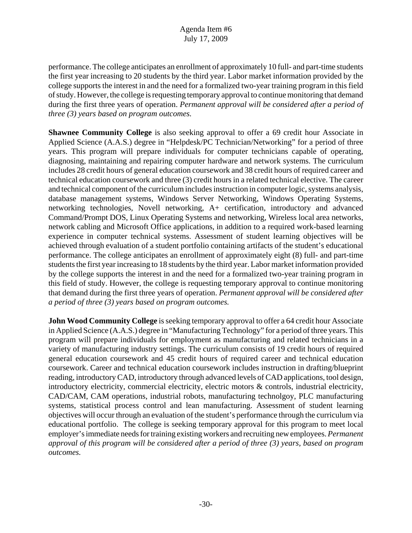performance. The college anticipates an enrollment of approximately 10 full- and part-time students the first year increasing to 20 students by the third year. Labor market information provided by the college supports the interest in and the need for a formalized two-year training program in this field of study. However, the college is requesting temporary approval to continue monitoring that demand during the first three years of operation. *Permanent approval will be considered after a period of three (3) years based on program outcomes.* 

**Shawnee Community College** is also seeking approval to offer a 69 credit hour Associate in Applied Science (A.A.S.) degree in "Helpdesk/PC Technician/Networking" for a period of three years. This program will prepare individuals for computer technicians capable of operating, diagnosing, maintaining and repairing computer hardware and network systems. The curriculum includes 28 credit hours of general education coursework and 38 credit hours of required career and technical education coursework and three (3) credit hours in a related technical elective. The career and technical component of the curriculum includes instruction in computer logic, systems analysis, database management systems, Windows Server Networking, Windows Operating Systems, networking technologies, Novell networking, A+ certification, introductory and advanced Command/Prompt DOS, Linux Operating Systems and networking, Wireless local area networks, network cabling and Microsoft Office applications, in addition to a required work-based learning experience in computer technical systems. Assessment of student learning objectives will be achieved through evaluation of a student portfolio containing artifacts of the student's educational performance. The college anticipates an enrollment of approximately eight (8) full- and part-time students the first year increasing to 18 students by the third year. Labor market information provided by the college supports the interest in and the need for a formalized two-year training program in this field of study. However, the college is requesting temporary approval to continue monitoring that demand during the first three years of operation. *Permanent approval will be considered after a period of three (3) years based on program outcomes.* 

**John Wood Community College** is seeking temporary approval to offer a 64 credit hour Associate in Applied Science (A.A.S.) degree in "Manufacturing Technology" for a period of three years. This program will prepare individuals for employment as manufacturing and related technicians in a variety of manufacturing industry settings. The curriculum consists of 19 credit hours of required general education coursework and 45 credit hours of required career and technical education coursework. Career and technical education coursework includes instruction in drafting/blueprint reading, introductory CAD, introductory through advanced levels of CAD applications, tool design, introductory electricity, commercial electricity, electric motors & controls, industrial electricity, CAD/CAM, CAM operations, industrial robots, manufacturing technolgoy, PLC manufacturing systems, statistical process control and lean manufacturing. Assessment of student learning objectives will occur through an evaluation of the student's performance through the curriculum via educational portfolio. The college is seeking temporary approval for this program to meet local employer's immediate needs for training existing workers and recruiting new employees. *Permanent approval of this program will be considered after a period of three (3) years, based on program outcomes.*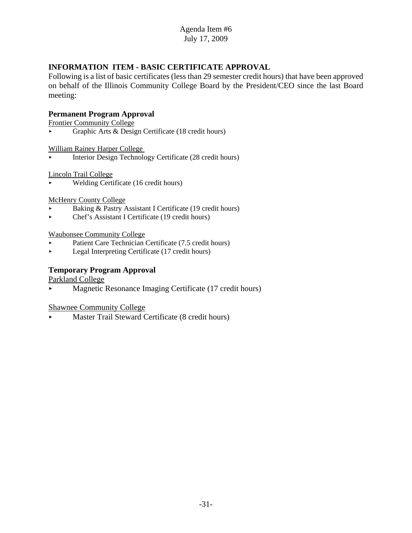# **INFORMATION ITEM - BASIC CERTIFICATE APPROVAL**

Following is a list of basic certificates (less than 29 semester credit hours) that have been approved on behalf of the Illinois Community College Board by the President/CEO since the last Board meeting:

## **Permanent Program Approval**

Frontier Community College

< Graphic Arts & Design Certificate (18 credit hours)

William Rainey Harper College

< Interior Design Technology Certificate (28 credit hours)

Lincoln Trail College

< Welding Certificate (16 credit hours)

McHenry County College

- Baking & Pastry Assistant I Certificate (19 credit hours)
- < Chef's Assistant I Certificate (19 credit hours)

Waubonsee Community College

- Patient Care Technician Certificate (7.5 credit hours)
- **Legal Interpreting Certificate (17 credit hours)**

## **Temporary Program Approval**

Parkland College

< Magnetic Resonance Imaging Certificate (17 credit hours)

Shawnee Community College

Master Trail Steward Certificate (8 credit hours)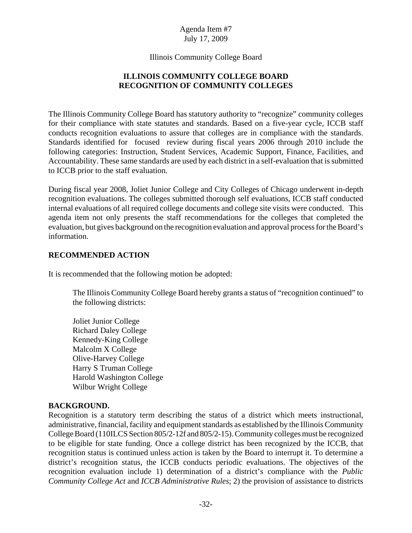Illinois Community College Board

# **ILLINOIS COMMUNITY COLLEGE BOARD RECOGNITION OF COMMUNITY COLLEGES**

The Illinois Community College Board has statutory authority to "recognize" community colleges for their compliance with state statutes and standards. Based on a five-year cycle, ICCB staff conducts recognition evaluations to assure that colleges are in compliance with the standards. Standards identified for focused review during fiscal years 2006 through 2010 include the following categories: Instruction, Student Services, Academic Support, Finance, Facilities, and Accountability. These same standards are used by each district in a self-evaluation that is submitted to ICCB prior to the staff evaluation.

During fiscal year 2008, Joliet Junior College and City Colleges of Chicago underwent in-depth recognition evaluations. The colleges submitted thorough self evaluations, ICCB staff conducted internal evaluations of all required college documents and college site visits were conducted. This agenda item not only presents the staff recommendations for the colleges that completed the evaluation, but gives background on the recognition evaluation and approval process for the Board's information.

## **RECOMMENDED ACTION**

It is recommended that the following motion be adopted:

The Illinois Community College Board hereby grants a status of "recognition continued" to the following districts:

Joliet Junior College Richard Daley College Kennedy-King College Malcolm X College Olive-Harvey College Harry S Truman College Harold Washington College Wilbur Wright College

## **BACKGROUND.**

Recognition is a statutory term describing the status of a district which meets instructional, administrative, financial, facility and equipment standards as established by the Illinois Community College Board (110ILCS Section 805/2-12f and 805/2-15). Community colleges must be recognized to be eligible for state funding. Once a college district has been recognized by the ICCB, that recognition status is continued unless action is taken by the Board to interrupt it. To determine a district's recognition status, the ICCB conducts periodic evaluations. The objectives of the recognition evaluation include 1) determination of a district's compliance with the *Public Community College Act* and *ICCB Administrative Rules*; 2) the provision of assistance to districts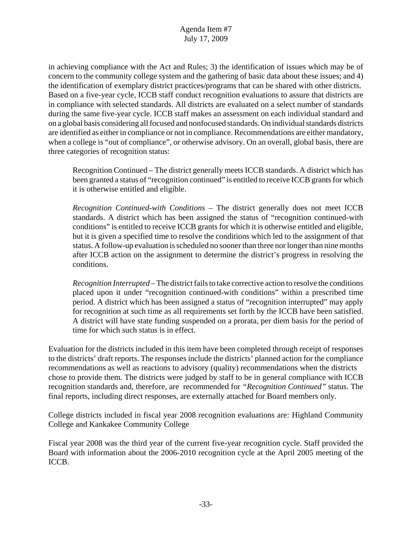in achieving compliance with the Act and Rules; 3) the identification of issues which may be of concern to the community college system and the gathering of basic data about these issues; and 4) the identification of exemplary district practices/programs that can be shared with other districts. Based on a five-year cycle, ICCB staff conduct recognition evaluations to assure that districts are in compliance with selected standards. All districts are evaluated on a select number of standards during the same five-year cycle. ICCB staff makes an assessment on each individual standard and on a global basis considering all focused and nonfocused standards. On individual standards districts are identified as either in compliance or not in compliance. Recommendations are either mandatory, when a college is "out of compliance", or otherwise advisory. On an overall, global basis, there are three categories of recognition status:

Recognition Continued – The district generally meets ICCB standards. A district which has been granted a status of "recognition continued" is entitled to receive ICCB grants for which it is otherwise entitled and eligible.

*Recognition Continued-with Conditions* – The district generally does not meet ICCB standards. A district which has been assigned the status of "recognition continued-with conditions" is entitled to receive ICCB grants for which it is otherwise entitled and eligible, but it is given a specified time to resolve the conditions which led to the assignment of that status. A follow-up evaluation is scheduled no sooner than three nor longer than nine months after ICCB action on the assignment to determine the district's progress in resolving the conditions.

*Recognition Interrupted* – The district fails to take corrective action to resolve the conditions placed upon it under "recognition continued-with conditions" within a prescribed time period. A district which has been assigned a status of "recognition interrupted" may apply for recognition at such time as all requirements set forth by the ICCB have been satisfied. A district will have state funding suspended on a prorata, per diem basis for the period of time for which such status is in effect.

Evaluation for the districts included in this item have been completed through receipt of responses to the districts' draft reports. The responses include the districts' planned action for the compliance recommendations as well as reactions to advisory (quality) recommendations when the districts chose to provide them. The districts were judged by staff to be in general compliance with ICCB recognition standards and, therefore, are recommended for *"Recognition Continued"* status. The final reports, including direct responses, are externally attached for Board members only.

College districts included in fiscal year 2008 recognition evaluations are: Highland Community College and Kankakee Community College

Fiscal year 2008 was the third year of the current five-year recognition cycle. Staff provided the Board with information about the 2006-2010 recognition cycle at the April 2005 meeting of the ICCB.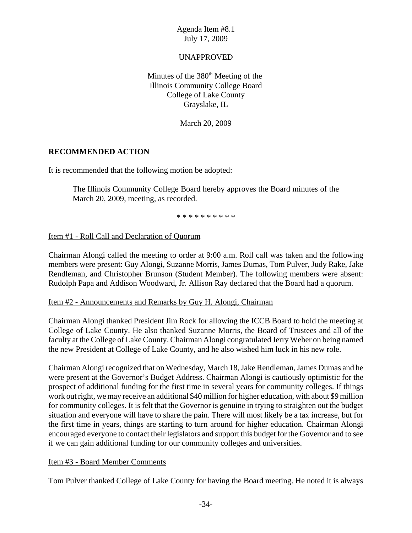## UNAPPROVED

Minutes of the  $380<sup>th</sup>$  Meeting of the Illinois Community College Board College of Lake County Grayslake, IL

March 20, 2009

## **RECOMMENDED ACTION**

It is recommended that the following motion be adopted:

The Illinois Community College Board hereby approves the Board minutes of the March 20, 2009, meeting, as recorded.

\* \* \* \* \* \* \* \* \* \*

### Item #1 - Roll Call and Declaration of Quorum

Chairman Alongi called the meeting to order at 9:00 a.m. Roll call was taken and the following members were present: Guy Alongi, Suzanne Morris, James Dumas, Tom Pulver, Judy Rake, Jake Rendleman, and Christopher Brunson (Student Member). The following members were absent: Rudolph Papa and Addison Woodward, Jr. Allison Ray declared that the Board had a quorum.

### Item #2 - Announcements and Remarks by Guy H. Alongi, Chairman

Chairman Alongi thanked President Jim Rock for allowing the ICCB Board to hold the meeting at College of Lake County. He also thanked Suzanne Morris, the Board of Trustees and all of the faculty at the College of Lake County. Chairman Alongi congratulated Jerry Weber on being named the new President at College of Lake County, and he also wished him luck in his new role.

Chairman Alongi recognized that on Wednesday, March 18, Jake Rendleman, James Dumas and he were present at the Governor's Budget Address. Chairman Alongi is cautiously optimistic for the prospect of additional funding for the first time in several years for community colleges. If things work out right, we may receive an additional \$40 million for higher education, with about \$9 million for community colleges. It is felt that the Governor is genuine in trying to straighten out the budget situation and everyone will have to share the pain. There will most likely be a tax increase, but for the first time in years, things are starting to turn around for higher education. Chairman Alongi encouraged everyone to contact their legislators and support this budget for the Governor and to see if we can gain additional funding for our community colleges and universities.

### Item #3 - Board Member Comments

Tom Pulver thanked College of Lake County for having the Board meeting. He noted it is always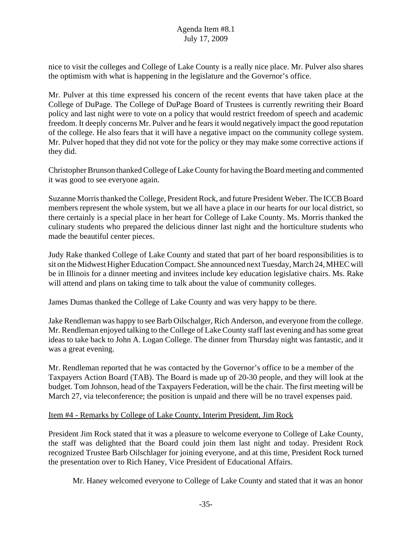nice to visit the colleges and College of Lake County is a really nice place. Mr. Pulver also shares the optimism with what is happening in the legislature and the Governor's office.

Mr. Pulver at this time expressed his concern of the recent events that have taken place at the College of DuPage. The College of DuPage Board of Trustees is currently rewriting their Board policy and last night were to vote on a policy that would restrict freedom of speech and academic freedom. It deeply concerns Mr. Pulver and he fears it would negatively impact the good reputation of the college. He also fears that it will have a negative impact on the community college system. Mr. Pulver hoped that they did not vote for the policy or they may make some corrective actions if they did.

Christopher Brunson thanked College of Lake County for having the Board meeting and commented it was good to see everyone again.

Suzanne Morris thanked the College, President Rock, and future President Weber. The ICCB Board members represent the whole system, but we all have a place in our hearts for our local district, so there certainly is a special place in her heart for College of Lake County. Ms. Morris thanked the culinary students who prepared the delicious dinner last night and the horticulture students who made the beautiful center pieces.

Judy Rake thanked College of Lake County and stated that part of her board responsibilities is to sit on the Midwest Higher Education Compact. She announced next Tuesday, March 24, MHEC will be in Illinois for a dinner meeting and invitees include key education legislative chairs. Ms. Rake will attend and plans on taking time to talk about the value of community colleges.

James Dumas thanked the College of Lake County and was very happy to be there.

Jake Rendleman was happy to see Barb Oilschalger, Rich Anderson, and everyone from the college. Mr. Rendleman enjoyed talking to the College of Lake County staff last evening and has some great ideas to take back to John A. Logan College. The dinner from Thursday night was fantastic, and it was a great evening.

Mr. Rendleman reported that he was contacted by the Governor's office to be a member of the Taxpayers Action Board (TAB). The Board is made up of 20-30 people, and they will look at the budget. Tom Johnson, head of the Taxpayers Federation, will be the chair. The first meeting will be March 27, via teleconference; the position is unpaid and there will be no travel expenses paid.

## Item #4 - Remarks by College of Lake County, Interim President, Jim Rock

President Jim Rock stated that it was a pleasure to welcome everyone to College of Lake County, the staff was delighted that the Board could join them last night and today. President Rock recognized Trustee Barb Oilschlager for joining everyone, and at this time, President Rock turned the presentation over to Rich Haney, Vice President of Educational Affairs.

Mr. Haney welcomed everyone to College of Lake County and stated that it was an honor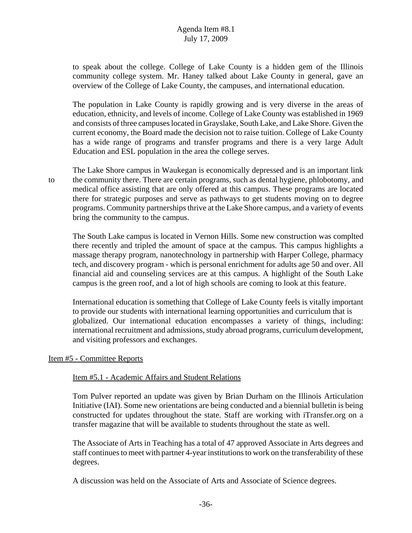to speak about the college. College of Lake County is a hidden gem of the Illinois community college system. Mr. Haney talked about Lake County in general, gave an overview of the College of Lake County, the campuses, and international education.

The population in Lake County is rapidly growing and is very diverse in the areas of education, ethnicity, and levels of income. College of Lake County was established in 1969 and consists of three campuses located in Grayslake, South Lake, and Lake Shore. Given the current economy, the Board made the decision not to raise tuition. College of Lake County has a wide range of programs and transfer programs and there is a very large Adult Education and ESL population in the area the college serves.

The Lake Shore campus in Waukegan is economically depressed and is an important link to the community there. There are certain programs, such as dental hygiene, phlobotomy, and medical office assisting that are only offered at this campus. These programs are located there for strategic purposes and serve as pathways to get students moving on to degree programs. Community partnerships thrive at the Lake Shore campus, and a variety of events bring the community to the campus.

The South Lake campus is located in Vernon Hills. Some new construction was complted there recently and tripled the amount of space at the campus. This campus highlights a massage therapy program, nanotechnology in partnership with Harper College, pharmacy tech, and discovery program - which is personal enrichment for adults age 50 and over. All financial aid and counseling services are at this campus. A highlight of the South Lake campus is the green roof, and a lot of high schools are coming to look at this feature.

International education is something that College of Lake County feels is vitally important to provide our students with international learning opportunities and curriculum that is globalized. Our international education encompasses a variety of things, including: international recruitment and admissions, study abroad programs, curriculum development, and visiting professors and exchanges.

#### Item #5 - Committee Reports

#### Item #5.1 - Academic Affairs and Student Relations

Tom Pulver reported an update was given by Brian Durham on the Illinois Articulation Initiative (IAI). Some new orientations are being conducted and a biennial bulletin is being constructed for updates throughout the state. Staff are working with iTransfer.org on a transfer magazine that will be available to students throughout the state as well.

The Associate of Arts in Teaching has a total of 47 approved Associate in Arts degrees and staff continues to meet with partner 4-year institutions to work on the transferability of these degrees.

A discussion was held on the Associate of Arts and Associate of Science degrees.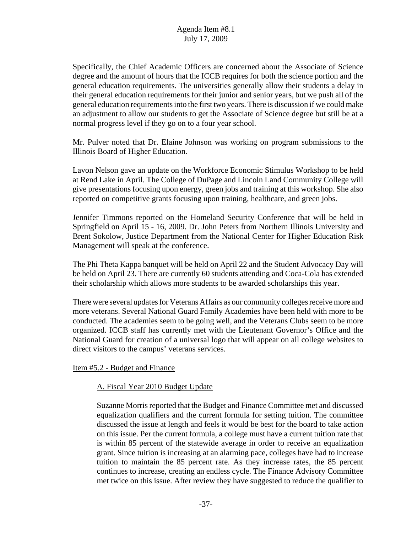Specifically, the Chief Academic Officers are concerned about the Associate of Science degree and the amount of hours that the ICCB requires for both the science portion and the general education requirements. The universities generally allow their students a delay in their general education requirements for their junior and senior years, but we push all of the general education requirements into the first two years. There is discussion if we could make an adjustment to allow our students to get the Associate of Science degree but still be at a normal progress level if they go on to a four year school.

Mr. Pulver noted that Dr. Elaine Johnson was working on program submissions to the Illinois Board of Higher Education.

Lavon Nelson gave an update on the Workforce Economic Stimulus Workshop to be held at Rend Lake in April. The College of DuPage and Lincoln Land Community College will give presentations focusing upon energy, green jobs and training at this workshop. She also reported on competitive grants focusing upon training, healthcare, and green jobs.

Jennifer Timmons reported on the Homeland Security Conference that will be held in Springfield on April 15 - 16, 2009. Dr. John Peters from Northern Illinois University and Brent Sokolow, Justice Department from the National Center for Higher Education Risk Management will speak at the conference.

The Phi Theta Kappa banquet will be held on April 22 and the Student Advocacy Day will be held on April 23. There are currently 60 students attending and Coca-Cola has extended their scholarship which allows more students to be awarded scholarships this year.

There were several updates for Veterans Affairs as our community colleges receive more and more veterans. Several National Guard Family Academies have been held with more to be conducted. The academies seem to be going well, and the Veterans Clubs seem to be more organized. ICCB staff has currently met with the Lieutenant Governor's Office and the National Guard for creation of a universal logo that will appear on all college websites to direct visitors to the campus' veterans services.

Item #5.2 - Budget and Finance

## A. Fiscal Year 2010 Budget Update

Suzanne Morris reported that the Budget and Finance Committee met and discussed equalization qualifiers and the current formula for setting tuition. The committee discussed the issue at length and feels it would be best for the board to take action on this issue. Per the current formula, a college must have a current tuition rate that is within 85 percent of the statewide average in order to receive an equalization grant. Since tuition is increasing at an alarming pace, colleges have had to increase tuition to maintain the 85 percent rate. As they increase rates, the 85 percent continues to increase, creating an endless cycle. The Finance Advisory Committee met twice on this issue. After review they have suggested to reduce the qualifier to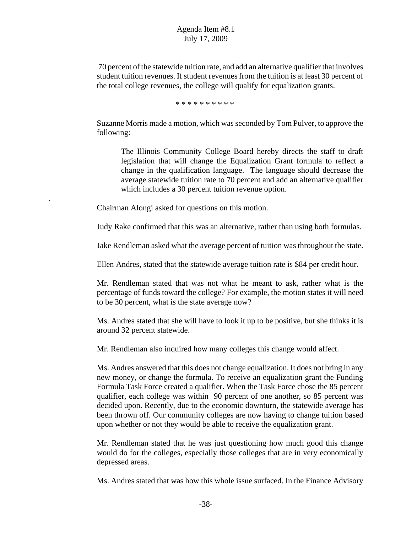70 percent of the statewide tuition rate, and add an alternative qualifier that involves student tuition revenues. If student revenues from the tuition is at least 30 percent of the total college revenues, the college will qualify for equalization grants.

\* \* \* \* \* \* \* \* \* \*

Suzanne Morris made a motion, which was seconded by Tom Pulver, to approve the following:

The Illinois Community College Board hereby directs the staff to draft legislation that will change the Equalization Grant formula to reflect a change in the qualification language. The language should decrease the average statewide tuition rate to 70 percent and add an alternative qualifier which includes a 30 percent tuition revenue option.

Chairman Alongi asked for questions on this motion.

.

Judy Rake confirmed that this was an alternative, rather than using both formulas.

Jake Rendleman asked what the average percent of tuition was throughout the state.

Ellen Andres, stated that the statewide average tuition rate is \$84 per credit hour.

Mr. Rendleman stated that was not what he meant to ask, rather what is the percentage of funds toward the college? For example, the motion states it will need to be 30 percent, what is the state average now?

Ms. Andres stated that she will have to look it up to be positive, but she thinks it is around 32 percent statewide.

Mr. Rendleman also inquired how many colleges this change would affect.

Ms. Andres answered that this does not change equalization. It does not bring in any new money, or change the formula. To receive an equalization grant the Funding Formula Task Force created a qualifier. When the Task Force chose the 85 percent qualifier, each college was within 90 percent of one another, so 85 percent was decided upon. Recently, due to the economic downturn, the statewide average has been thrown off. Our community colleges are now having to change tuition based upon whether or not they would be able to receive the equalization grant.

Mr. Rendleman stated that he was just questioning how much good this change would do for the colleges, especially those colleges that are in very economically depressed areas.

Ms. Andres stated that was how this whole issue surfaced. In the Finance Advisory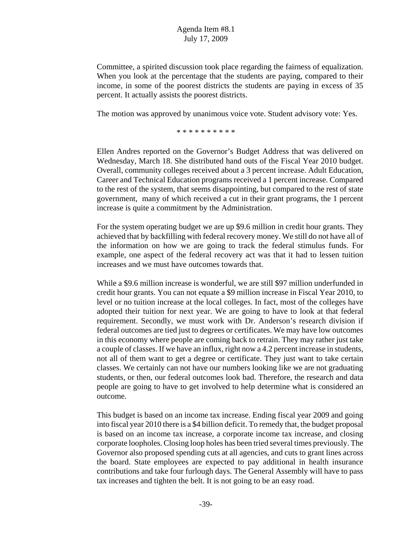Committee, a spirited discussion took place regarding the fairness of equalization. When you look at the percentage that the students are paying, compared to their income, in some of the poorest districts the students are paying in excess of 35 percent. It actually assists the poorest districts.

The motion was approved by unanimous voice vote. Student advisory vote: Yes.

\* \* \* \* \* \* \* \* \* \*

Ellen Andres reported on the Governor's Budget Address that was delivered on Wednesday, March 18. She distributed hand outs of the Fiscal Year 2010 budget. Overall, community colleges received about a 3 percent increase. Adult Education, Career and Technical Education programs received a 1 percent increase. Compared to the rest of the system, that seems disappointing, but compared to the rest of state government, many of which received a cut in their grant programs, the 1 percent increase is quite a commitment by the Administration.

For the system operating budget we are up \$9.6 million in credit hour grants. They achieved that by backfilling with federal recovery money. We still do not have all of the information on how we are going to track the federal stimulus funds. For example, one aspect of the federal recovery act was that it had to lessen tuition increases and we must have outcomes towards that.

While a \$9.6 million increase is wonderful, we are still \$97 million underfunded in credit hour grants. You can not equate a \$9 million increase in Fiscal Year 2010, to level or no tuition increase at the local colleges. In fact, most of the colleges have adopted their tuition for next year. We are going to have to look at that federal requirement. Secondly, we must work with Dr. Anderson's research division if federal outcomes are tied just to degrees or certificates. We may have low outcomes in this economy where people are coming back to retrain. They may rather just take a couple of classes. If we have an influx, right now a 4.2 percent increase in students, not all of them want to get a degree or certificate. They just want to take certain classes. We certainly can not have our numbers looking like we are not graduating students, or then, our federal outcomes look bad. Therefore, the research and data people are going to have to get involved to help determine what is considered an outcome.

This budget is based on an income tax increase. Ending fiscal year 2009 and going into fiscal year 2010 there is a \$4 billion deficit. To remedy that, the budget proposal is based on an income tax increase, a corporate income tax increase, and closing corporate loopholes. Closing loop holes has been tried several times previously. The Governor also proposed spending cuts at all agencies, and cuts to grant lines across the board. State employees are expected to pay additional in health insurance contributions and take four furlough days. The General Assembly will have to pass tax increases and tighten the belt. It is not going to be an easy road.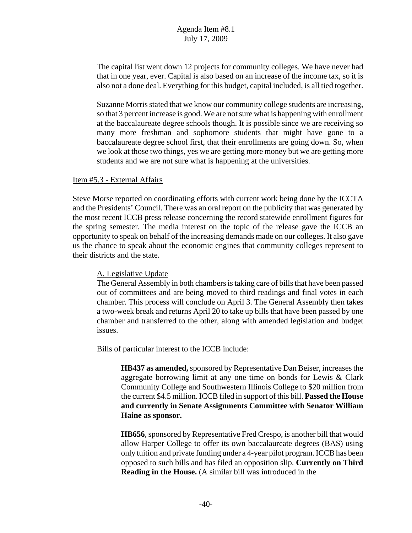The capital list went down 12 projects for community colleges. We have never had that in one year, ever. Capital is also based on an increase of the income tax, so it is also not a done deal. Everything for this budget, capital included, is all tied together.

Suzanne Morris stated that we know our community college students are increasing, so that 3 percent increase is good. We are not sure what is happening with enrollment at the baccalaureate degree schools though. It is possible since we are receiving so many more freshman and sophomore students that might have gone to a baccalaureate degree school first, that their enrollments are going down. So, when we look at those two things, yes we are getting more money but we are getting more students and we are not sure what is happening at the universities.

#### Item #5.3 - External Affairs

Steve Morse reported on coordinating efforts with current work being done by the ICCTA and the Presidents' Council. There was an oral report on the publicity that was generated by the most recent ICCB press release concerning the record statewide enrollment figures for the spring semester. The media interest on the topic of the release gave the ICCB an opportunity to speak on behalf of the increasing demands made on our colleges. It also gave us the chance to speak about the economic engines that community colleges represent to their districts and the state.

## A. Legislative Update

The General Assembly in both chambers is taking care of bills that have been passed out of committees and are being moved to third readings and final votes in each chamber. This process will conclude on April 3. The General Assembly then takes a two-week break and returns April 20 to take up bills that have been passed by one chamber and transferred to the other, along with amended legislation and budget issues.

Bills of particular interest to the ICCB include:

**HB437 as amended,** sponsored by Representative Dan Beiser, increases the aggregate borrowing limit at any one time on bonds for Lewis & Clark Community College and Southwestern Illinois College to \$20 million from the current \$4.5 million. ICCB filed in support of this bill. **Passed the House and currently in Senate Assignments Committee with Senator William Haine as sponsor.**

**HB656**, sponsored by Representative Fred Crespo, is another bill that would allow Harper College to offer its own baccalaureate degrees (BAS) using only tuition and private funding under a 4-year pilot program. ICCB has been opposed to such bills and has filed an opposition slip. **Currently on Third Reading in the House.** (A similar bill was introduced in the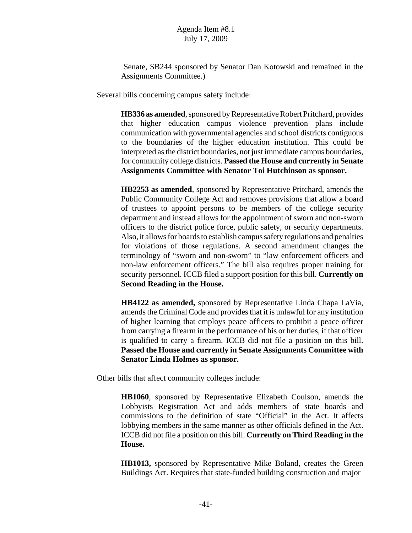Senate, SB244 sponsored by Senator Dan Kotowski and remained in the Assignments Committee.)

Several bills concerning campus safety include:

**HB336 as amended**, sponsored by Representative Robert Pritchard, provides that higher education campus violence prevention plans include communication with governmental agencies and school districts contiguous to the boundaries of the higher education institution. This could be interpreted as the district boundaries, not just immediate campus boundaries, for community college districts. **Passed the House and currently in Senate Assignments Committee with Senator Toi Hutchinson as sponsor.**

**HB2253 as amended**, sponsored by Representative Pritchard, amends the Public Community College Act and removes provisions that allow a board of trustees to appoint persons to be members of the college security department and instead allows for the appointment of sworn and non-sworn officers to the district police force, public safety, or security departments. Also, it allows for boards to establish campus safety regulations and penalties for violations of those regulations. A second amendment changes the terminology of "sworn and non-sworn" to "law enforcement officers and non-law enforcement officers." The bill also requires proper training for security personnel. ICCB filed a support position for this bill. **Currently on Second Reading in the House.**

**HB4122 as amended,** sponsored by Representative Linda Chapa LaVia, amends the Criminal Code and provides that it is unlawful for any institution of higher learning that employs peace officers to prohibit a peace officer from carrying a firearm in the performance of his or her duties, if that officer is qualified to carry a firearm. ICCB did not file a position on this bill. **Passed the House and currently in Senate Assignments Committee with Senator Linda Holmes as sponsor.**

Other bills that affect community colleges include:

**HB1060**, sponsored by Representative Elizabeth Coulson, amends the Lobbyists Registration Act and adds members of state boards and commissions to the definition of state "Official" in the Act. It affects lobbying members in the same manner as other officials defined in the Act. ICCB did not file a position on this bill. **Currently on Third Reading in the House.**

**HB1013,** sponsored by Representative Mike Boland, creates the Green Buildings Act. Requires that state-funded building construction and major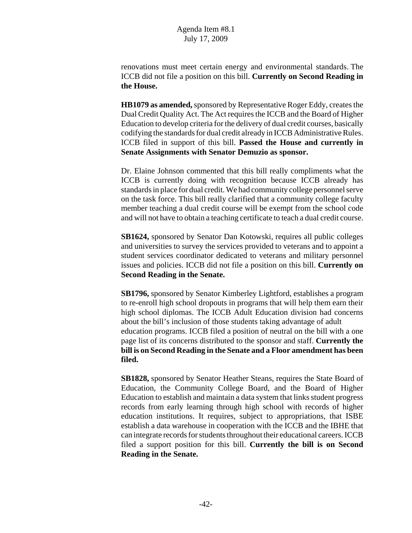renovations must meet certain energy and environmental standards. The ICCB did not file a position on this bill. **Currently on Second Reading in the House.**

**HB1079 as amended,** sponsored by Representative Roger Eddy, creates the Dual Credit Quality Act. The Act requires the ICCB and the Board of Higher Education to develop criteria for the delivery of dual credit courses, basically codifying the standards for dual credit already in ICCB Administrative Rules. ICCB filed in support of this bill. **Passed the House and currently in Senate Assignments with Senator Demuzio as sponsor.**

Dr. Elaine Johnson commented that this bill really compliments what the ICCB is currently doing with recognition because ICCB already has standards in place for dual credit. We had community college personnel serve on the task force. This bill really clarified that a community college faculty member teaching a dual credit course will be exempt from the school code and will not have to obtain a teaching certificate to teach a dual credit course.

**SB1624,** sponsored by Senator Dan Kotowski, requires all public colleges and universities to survey the services provided to veterans and to appoint a student services coordinator dedicated to veterans and military personnel issues and policies. ICCB did not file a position on this bill. **Currently on Second Reading in the Senate.**

**SB1796,** sponsored by Senator Kimberley Lightford, establishes a program to re-enroll high school dropouts in programs that will help them earn their high school diplomas. The ICCB Adult Education division had concerns about the bill's inclusion of those students taking advantage of adult education programs. ICCB filed a position of neutral on the bill with a one page list of its concerns distributed to the sponsor and staff. **Currently the bill is on Second Reading in the Senate and a Floor amendment has been filed.**

**SB1828,** sponsored by Senator Heather Steans, requires the State Board of Education, the Community College Board, and the Board of Higher Education to establish and maintain a data system that links student progress records from early learning through high school with records of higher education institutions. It requires, subject to appropriations, that ISBE establish a data warehouse in cooperation with the ICCB and the IBHE that can integrate records for students throughout their educational careers. ICCB filed a support position for this bill. **Currently the bill is on Second Reading in the Senate.**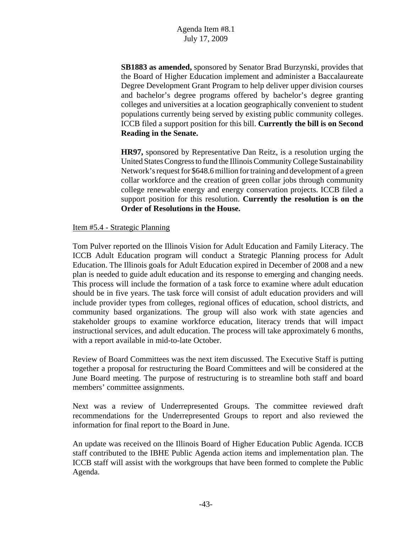**SB1883 as amended,** sponsored by Senator Brad Burzynski, provides that the Board of Higher Education implement and administer a Baccalaureate Degree Development Grant Program to help deliver upper division courses and bachelor's degree programs offered by bachelor's degree granting colleges and universities at a location geographically convenient to student populations currently being served by existing public community colleges. ICCB filed a support position for this bill. **Currently the bill is on Second Reading in the Senate.**

**HR97,** sponsored by Representative Dan Reitz, is a resolution urging the United States Congress to fund the Illinois Community College Sustainability Network's request for \$648.6 million for training and development of a green collar workforce and the creation of green collar jobs through community college renewable energy and energy conservation projects. ICCB filed a support position for this resolution. **Currently the resolution is on the Order of Resolutions in the House.**

### Item #5.4 - Strategic Planning

Tom Pulver reported on the Illinois Vision for Adult Education and Family Literacy. The ICCB Adult Education program will conduct a Strategic Planning process for Adult Education. The Illinois goals for Adult Education expired in December of 2008 and a new plan is needed to guide adult education and its response to emerging and changing needs. This process will include the formation of a task force to examine where adult education should be in five years. The task force will consist of adult education providers and will include provider types from colleges, regional offices of education, school districts, and community based organizations. The group will also work with state agencies and stakeholder groups to examine workforce education, literacy trends that will impact instructional services, and adult education. The process will take approximately 6 months, with a report available in mid-to-late October.

Review of Board Committees was the next item discussed. The Executive Staff is putting together a proposal for restructuring the Board Committees and will be considered at the June Board meeting. The purpose of restructuring is to streamline both staff and board members' committee assignments.

Next was a review of Underrepresented Groups. The committee reviewed draft recommendations for the Underrepresented Groups to report and also reviewed the information for final report to the Board in June.

An update was received on the Illinois Board of Higher Education Public Agenda. ICCB staff contributed to the IBHE Public Agenda action items and implementation plan. The ICCB staff will assist with the workgroups that have been formed to complete the Public Agenda.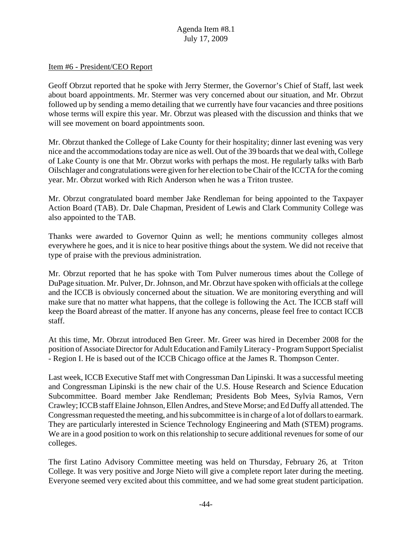#### Item #6 - President/CEO Report

Geoff Obrzut reported that he spoke with Jerry Stermer, the Governor's Chief of Staff, last week about board appointments. Mr. Stermer was very concerned about our situation, and Mr. Obrzut followed up by sending a memo detailing that we currently have four vacancies and three positions whose terms will expire this year. Mr. Obrzut was pleased with the discussion and thinks that we will see movement on board appointments soon.

Mr. Obrzut thanked the College of Lake County for their hospitality; dinner last evening was very nice and the accommodations today are nice as well. Out of the 39 boards that we deal with, College of Lake County is one that Mr. Obrzut works with perhaps the most. He regularly talks with Barb Oilschlager and congratulations were given for her election to be Chair of the ICCTA for the coming year. Mr. Obrzut worked with Rich Anderson when he was a Triton trustee.

Mr. Obrzut congratulated board member Jake Rendleman for being appointed to the Taxpayer Action Board (TAB). Dr. Dale Chapman, President of Lewis and Clark Community College was also appointed to the TAB.

Thanks were awarded to Governor Quinn as well; he mentions community colleges almost everywhere he goes, and it is nice to hear positive things about the system. We did not receive that type of praise with the previous administration.

Mr. Obrzut reported that he has spoke with Tom Pulver numerous times about the College of DuPage situation. Mr. Pulver, Dr. Johnson, and Mr. Obrzut have spoken with officials at the college and the ICCB is obviously concerned about the situation. We are monitoring everything and will make sure that no matter what happens, that the college is following the Act. The ICCB staff will keep the Board abreast of the matter. If anyone has any concerns, please feel free to contact ICCB staff.

At this time, Mr. Obrzut introduced Ben Greer. Mr. Greer was hired in December 2008 for the position of Associate Director for Adult Education and Family Literacy - Program Support Specialist - Region I. He is based out of the ICCB Chicago office at the James R. Thompson Center.

Last week, ICCB Executive Staff met with Congressman Dan Lipinski. It was a successful meeting and Congressman Lipinski is the new chair of the U.S. House Research and Science Education Subcommittee. Board member Jake Rendleman; Presidents Bob Mees, Sylvia Ramos, Vern Crawley; ICCB staff Elaine Johnson, Ellen Andres, and Steve Morse; and Ed Duffy all attended. The Congressman requested the meeting, and his subcommittee is in charge of a lot of dollars to earmark. They are particularly interested in Science Technology Engineering and Math (STEM) programs. We are in a good position to work on this relationship to secure additional revenues for some of our colleges.

The first Latino Advisory Committee meeting was held on Thursday, February 26, at Triton College. It was very positive and Jorge Nieto will give a complete report later during the meeting. Everyone seemed very excited about this committee, and we had some great student participation.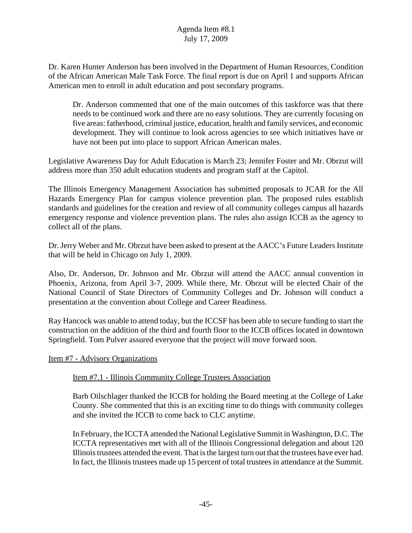Dr. Karen Hunter Anderson has been involved in the Department of Human Resources, Condition of the African American Male Task Force. The final report is due on April 1 and supports African American men to enroll in adult education and post secondary programs.

Dr. Anderson commented that one of the main outcomes of this taskforce was that there needs to be continued work and there are no easy solutions. They are currently focusing on five areas: fatherhood, criminal justice, education, health and family services, and economic development. They will continue to look across agencies to see which initiatives have or have not been put into place to support African American males.

Legislative Awareness Day for Adult Education is March 23; Jennifer Foster and Mr. Obrzut will address more than 350 adult education students and program staff at the Capitol.

The Illinois Emergency Management Association has submitted proposals to JCAR for the All Hazards Emergency Plan for campus violence prevention plan. The proposed rules establish standards and guidelines for the creation and review of all community colleges campus all hazards emergency response and violence prevention plans. The rules also assign ICCB as the agency to collect all of the plans.

Dr. Jerry Weber and Mr. Obrzut have been asked to present at the AACC's Future Leaders Institute that will be held in Chicago on July 1, 2009.

Also, Dr. Anderson, Dr. Johnson and Mr. Obrzut will attend the AACC annual convention in Phoenix, Arizona, from April 3-7, 2009. While there, Mr. Obrzut will be elected Chair of the National Council of State Directors of Community Colleges and Dr. Johnson will conduct a presentation at the convention about College and Career Readiness.

Ray Hancock was unable to attend today, but the ICCSF has been able to secure funding to start the construction on the addition of the third and fourth floor to the ICCB offices located in downtown Springfield. Tom Pulver assured everyone that the project will move forward soon.

Item #7 - Advisory Organizations

## Item #7.1 - Illinois Community College Trustees Association

Barb Oilschlager thanked the ICCB for holding the Board meeting at the College of Lake County. She commented that this is an exciting time to do things with community colleges and she invited the ICCB to come back to CLC anytime.

In February, the ICCTA attended the National Legislative Summit in Washington, D.C. The ICCTA representatives met with all of the Illinois Congressional delegation and about 120 Illinois trustees attended the event. That is the largest turn out that the trustees have ever had. In fact, the Illinois trustees made up 15 percent of total trustees in attendance at the Summit.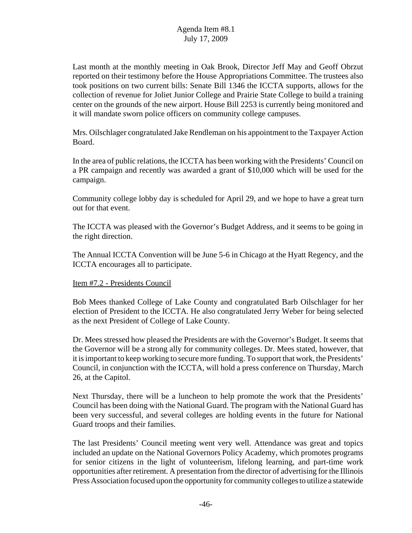Last month at the monthly meeting in Oak Brook, Director Jeff May and Geoff Obrzut reported on their testimony before the House Appropriations Committee. The trustees also took positions on two current bills: Senate Bill 1346 the ICCTA supports, allows for the collection of revenue for Joliet Junior College and Prairie State College to build a training center on the grounds of the new airport. House Bill 2253 is currently being monitored and it will mandate sworn police officers on community college campuses.

Mrs. Oilschlager congratulated Jake Rendleman on his appointment to the Taxpayer Action Board.

In the area of public relations, the ICCTA has been working with the Presidents' Council on a PR campaign and recently was awarded a grant of \$10,000 which will be used for the campaign.

Community college lobby day is scheduled for April 29, and we hope to have a great turn out for that event.

The ICCTA was pleased with the Governor's Budget Address, and it seems to be going in the right direction.

The Annual ICCTA Convention will be June 5-6 in Chicago at the Hyatt Regency, and the ICCTA encourages all to participate.

## Item #7.2 - Presidents Council

Bob Mees thanked College of Lake County and congratulated Barb Oilschlager for her election of President to the ICCTA. He also congratulated Jerry Weber for being selected as the next President of College of Lake County.

Dr. Mees stressed how pleased the Presidents are with the Governor's Budget. It seems that the Governor will be a strong ally for community colleges. Dr. Mees stated, however, that it is important to keep working to secure more funding. To support that work, the Presidents' Council, in conjunction with the ICCTA, will hold a press conference on Thursday, March 26, at the Capitol.

Next Thursday, there will be a luncheon to help promote the work that the Presidents' Council has been doing with the National Guard. The program with the National Guard has been very successful, and several colleges are holding events in the future for National Guard troops and their families.

The last Presidents' Council meeting went very well. Attendance was great and topics included an update on the National Governors Policy Academy, which promotes programs for senior citizens in the light of volunteerism, lifelong learning, and part-time work opportunities after retirement. A presentation from the director of advertising for the Illinois Press Association focused upon the opportunity for community colleges to utilize a statewide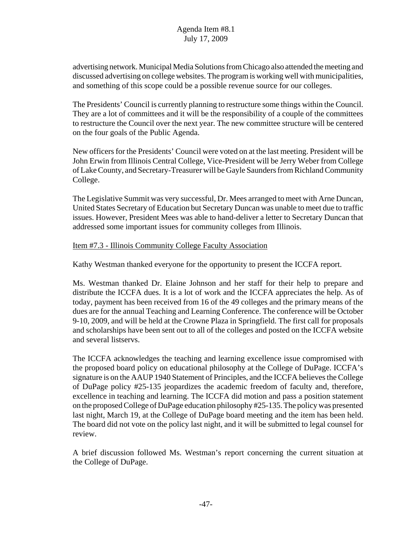advertising network. Municipal Media Solutions from Chicago also attended the meeting and discussed advertising on college websites. The program is working well with municipalities, and something of this scope could be a possible revenue source for our colleges.

The Presidents' Council is currently planning to restructure some things within the Council. They are a lot of committees and it will be the responsibility of a couple of the committees to restructure the Council over the next year. The new committee structure will be centered on the four goals of the Public Agenda.

New officers for the Presidents' Council were voted on at the last meeting. President will be John Erwin from Illinois Central College, Vice-President will be Jerry Weber from College of Lake County, and Secretary-Treasurer will be Gayle Saunders from Richland Community College.

The Legislative Summit was very successful, Dr. Mees arranged to meet with Arne Duncan, United States Secretary of Education but Secretary Duncan was unable to meet due to traffic issues. However, President Mees was able to hand-deliver a letter to Secretary Duncan that addressed some important issues for community colleges from Illinois.

### Item #7.3 - Illinois Community College Faculty Association

Kathy Westman thanked everyone for the opportunity to present the ICCFA report.

Ms. Westman thanked Dr. Elaine Johnson and her staff for their help to prepare and distribute the ICCFA dues. It is a lot of work and the ICCFA appreciates the help. As of today, payment has been received from 16 of the 49 colleges and the primary means of the dues are for the annual Teaching and Learning Conference. The conference will be October 9-10, 2009, and will be held at the Crowne Plaza in Springfield. The first call for proposals and scholarships have been sent out to all of the colleges and posted on the ICCFA website and several listservs.

The ICCFA acknowledges the teaching and learning excellence issue compromised with the proposed board policy on educational philosophy at the College of DuPage. ICCFA's signature is on the AAUP 1940 Statement of Principles, and the ICCFA believes the College of DuPage policy #25-135 jeopardizes the academic freedom of faculty and, therefore, excellence in teaching and learning. The ICCFA did motion and pass a position statement on the proposed College of DuPage education philosophy #25-135. The policy was presented last night, March 19, at the College of DuPage board meeting and the item has been held. The board did not vote on the policy last night, and it will be submitted to legal counsel for review.

A brief discussion followed Ms. Westman's report concerning the current situation at the College of DuPage.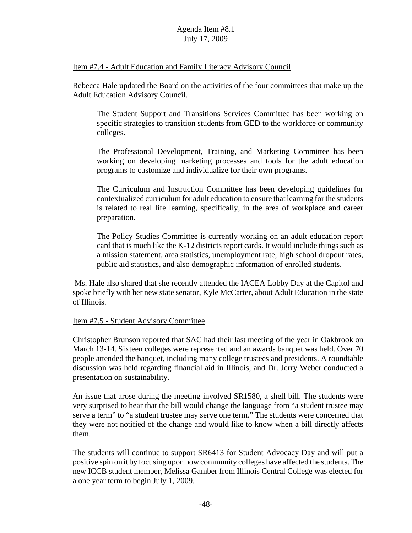#### Item #7.4 - Adult Education and Family Literacy Advisory Council

Rebecca Hale updated the Board on the activities of the four committees that make up the Adult Education Advisory Council.

The Student Support and Transitions Services Committee has been working on specific strategies to transition students from GED to the workforce or community colleges.

The Professional Development, Training, and Marketing Committee has been working on developing marketing processes and tools for the adult education programs to customize and individualize for their own programs.

The Curriculum and Instruction Committee has been developing guidelines for contextualized curriculum for adult education to ensure that learning for the students is related to real life learning, specifically, in the area of workplace and career preparation.

The Policy Studies Committee is currently working on an adult education report card that is much like the K-12 districts report cards. It would include things such as a mission statement, area statistics, unemployment rate, high school dropout rates, public aid statistics, and also demographic information of enrolled students.

 Ms. Hale also shared that she recently attended the IACEA Lobby Day at the Capitol and spoke briefly with her new state senator, Kyle McCarter, about Adult Education in the state of Illinois.

#### Item #7.5 - Student Advisory Committee

Christopher Brunson reported that SAC had their last meeting of the year in Oakbrook on March 13-14. Sixteen colleges were represented and an awards banquet was held. Over 70 people attended the banquet, including many college trustees and presidents. A roundtable discussion was held regarding financial aid in Illinois, and Dr. Jerry Weber conducted a presentation on sustainability.

An issue that arose during the meeting involved SR1580, a shell bill. The students were very surprised to hear that the bill would change the language from "a student trustee may serve a term" to "a student trustee may serve one term." The students were concerned that they were not notified of the change and would like to know when a bill directly affects them.

The students will continue to support SR6413 for Student Advocacy Day and will put a positive spin on it by focusing upon how community colleges have affected the students. The new ICCB student member, Melissa Gamber from Illinois Central College was elected for a one year term to begin July 1, 2009.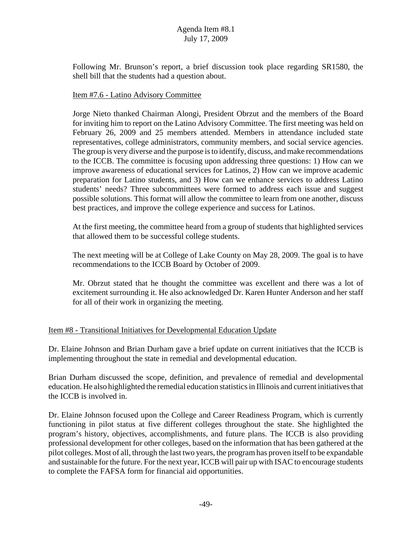Following Mr. Brunson's report, a brief discussion took place regarding SR1580, the shell bill that the students had a question about.

#### Item #7.6 - Latino Advisory Committee

Jorge Nieto thanked Chairman Alongi, President Obrzut and the members of the Board for inviting him to report on the Latino Advisory Committee. The first meeting was held on February 26, 2009 and 25 members attended. Members in attendance included state representatives, college administrators, community members, and social service agencies. The group is very diverse and the purpose is to identify, discuss, and make recommendations to the ICCB. The committee is focusing upon addressing three questions: 1) How can we improve awareness of educational services for Latinos, 2) How can we improve academic preparation for Latino students, and 3) How can we enhance services to address Latino students' needs? Three subcommittees were formed to address each issue and suggest possible solutions. This format will allow the committee to learn from one another, discuss best practices, and improve the college experience and success for Latinos.

At the first meeting, the committee heard from a group of students that highlighted services that allowed them to be successful college students.

The next meeting will be at College of Lake County on May 28, 2009. The goal is to have recommendations to the ICCB Board by October of 2009.

Mr. Obrzut stated that he thought the committee was excellent and there was a lot of excitement surrounding it. He also acknowledged Dr. Karen Hunter Anderson and her staff for all of their work in organizing the meeting.

## Item #8 - Transitional Initiatives for Developmental Education Update

Dr. Elaine Johnson and Brian Durham gave a brief update on current initiatives that the ICCB is implementing throughout the state in remedial and developmental education.

Brian Durham discussed the scope, definition, and prevalence of remedial and developmental education. He also highlighted the remedial education statistics in Illinois and current initiatives that the ICCB is involved in.

Dr. Elaine Johnson focused upon the College and Career Readiness Program, which is currently functioning in pilot status at five different colleges throughout the state. She highlighted the program's history, objectives, accomplishments, and future plans. The ICCB is also providing professional development for other colleges, based on the information that has been gathered at the pilot colleges. Most of all, through the last two years, the program has proven itself to be expandable and sustainable for the future. For the next year, ICCB will pair up with ISAC to encourage students to complete the FAFSA form for financial aid opportunities.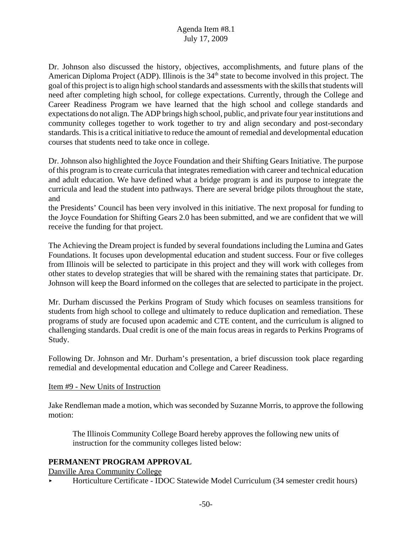Dr. Johnson also discussed the history, objectives, accomplishments, and future plans of the American Diploma Project (ADP). Illinois is the  $34<sup>th</sup>$  state to become involved in this project. The goal of this project is to align high school standards and assessments with the skills that students will need after completing high school, for college expectations. Currently, through the College and Career Readiness Program we have learned that the high school and college standards and expectations do not align. The ADP brings high school, public, and private four year institutions and community colleges together to work together to try and align secondary and post-secondary standards. This is a critical initiative to reduce the amount of remedial and developmental education courses that students need to take once in college.

Dr. Johnson also highlighted the Joyce Foundation and their Shifting Gears Initiative. The purpose of this program is to create curricula that integrates remediation with career and technical education and adult education. We have defined what a bridge program is and its purpose to integrate the curricula and lead the student into pathways. There are several bridge pilots throughout the state, and

the Presidents' Council has been very involved in this initiative. The next proposal for funding to the Joyce Foundation for Shifting Gears 2.0 has been submitted, and we are confident that we will receive the funding for that project.

The Achieving the Dream project is funded by several foundations including the Lumina and Gates Foundations. It focuses upon developmental education and student success. Four or five colleges from Illinois will be selected to participate in this project and they will work with colleges from other states to develop strategies that will be shared with the remaining states that participate. Dr. Johnson will keep the Board informed on the colleges that are selected to participate in the project.

Mr. Durham discussed the Perkins Program of Study which focuses on seamless transitions for students from high school to college and ultimately to reduce duplication and remediation. These programs of study are focused upon academic and CTE content, and the curriculum is aligned to challenging standards. Dual credit is one of the main focus areas in regards to Perkins Programs of Study.

Following Dr. Johnson and Mr. Durham's presentation, a brief discussion took place regarding remedial and developmental education and College and Career Readiness.

## Item #9 - New Units of Instruction

Jake Rendleman made a motion, which was seconded by Suzanne Morris, to approve the following motion:

The Illinois Community College Board hereby approves the following new units of instruction for the community colleges listed below:

## **PERMANENT PROGRAM APPROVAL**

Danville Area Community College

< Horticulture Certificate - IDOC Statewide Model Curriculum (34 semester credit hours)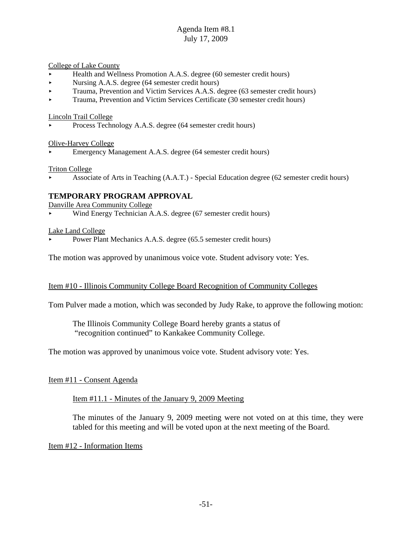College of Lake County

- < Health and Wellness Promotion A.A.S. degree (60 semester credit hours)
- Nursing A.A.S. degree (64 semester credit hours)
- < Trauma, Prevention and Victim Services A.A.S. degree (63 semester credit hours)
- < Trauma, Prevention and Victim Services Certificate (30 semester credit hours)

Lincoln Trail College

< Process Technology A.A.S. degree (64 semester credit hours)

Olive-Harvey College

< Emergency Management A.A.S. degree (64 semester credit hours)

Triton College

< Associate of Arts in Teaching (A.A.T.) - Special Education degree (62 semester credit hours)

### **TEMPORARY PROGRAM APPROVAL**

Danville Area Community College

< Wind Energy Technician A.A.S. degree (67 semester credit hours)

Lake Land College

Power Plant Mechanics A.A.S. degree (65.5 semester credit hours)

The motion was approved by unanimous voice vote. Student advisory vote: Yes.

#### Item #10 - Illinois Community College Board Recognition of Community Colleges

Tom Pulver made a motion, which was seconded by Judy Rake, to approve the following motion:

The Illinois Community College Board hereby grants a status of "recognition continued" to Kankakee Community College.

The motion was approved by unanimous voice vote. Student advisory vote: Yes.

#### Item #11 - Consent Agenda

Item #11.1 - Minutes of the January 9, 2009 Meeting

The minutes of the January 9, 2009 meeting were not voted on at this time, they were tabled for this meeting and will be voted upon at the next meeting of the Board.

Item #12 - Information Items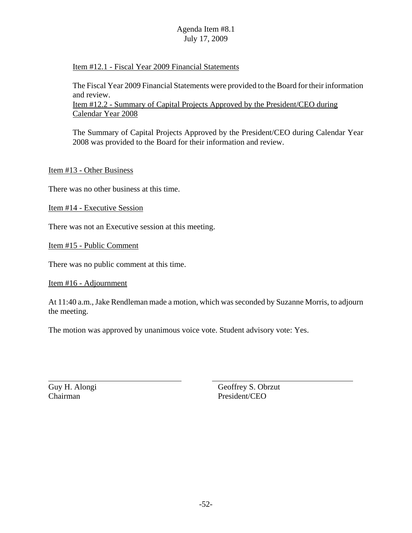### Item #12.1 - Fiscal Year 2009 Financial Statements

The Fiscal Year 2009 Financial Statements were provided to the Board for their information and review. Item #12.2 - Summary of Capital Projects Approved by the President/CEO during Calendar Year 2008

The Summary of Capital Projects Approved by the President/CEO during Calendar Year 2008 was provided to the Board for their information and review.

Item #13 - Other Business

There was no other business at this time.

Item #14 - Executive Session

There was not an Executive session at this meeting.

Item #15 - Public Comment

There was no public comment at this time.

#### Item #16 - Adjournment

At 11:40 a.m., Jake Rendleman made a motion, which was seconded by Suzanne Morris, to adjourn the meeting.

The motion was approved by unanimous voice vote. Student advisory vote: Yes.

Chairman President/CEO

Guy H. Alongi Geoffrey S. Obrzut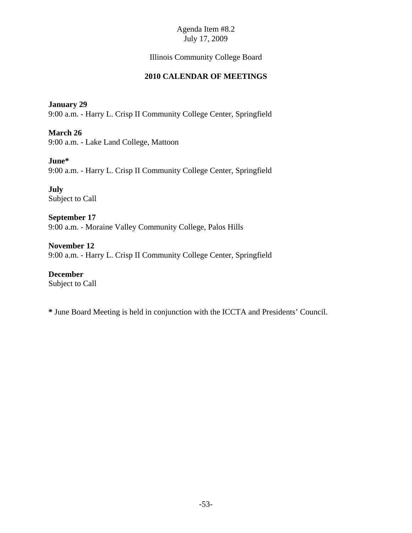# Illinois Community College Board

# **2010 CALENDAR OF MEETINGS**

### **January 29**

9:00 a.m. - Harry L. Crisp II Community College Center, Springfield

**March 26**

9:00 a.m. - Lake Land College, Mattoon

## **June\***

9:00 a.m. - Harry L. Crisp II Community College Center, Springfield

**July** Subject to Call

**September 17** 9:00 a.m. - Moraine Valley Community College, Palos Hills

**November 12** 9:00 a.m. - Harry L. Crisp II Community College Center, Springfield

**December** Subject to Call

**\*** June Board Meeting is held in conjunction with the ICCTA and Presidents' Council.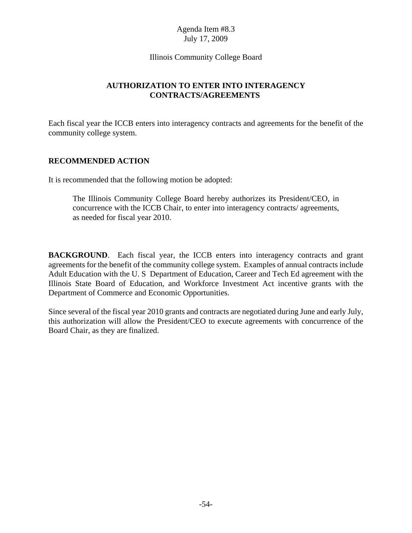#### Illinois Community College Board

# **AUTHORIZATION TO ENTER INTO INTERAGENCY CONTRACTS/AGREEMENTS**

Each fiscal year the ICCB enters into interagency contracts and agreements for the benefit of the community college system.

## **RECOMMENDED ACTION**

It is recommended that the following motion be adopted:

The Illinois Community College Board hereby authorizes its President/CEO, in concurrence with the ICCB Chair, to enter into interagency contracts/ agreements, as needed for fiscal year 2010.

**BACKGROUND**. Each fiscal year, the ICCB enters into interagency contracts and grant agreements for the benefit of the community college system. Examples of annual contracts include Adult Education with the U. S Department of Education, Career and Tech Ed agreement with the Illinois State Board of Education, and Workforce Investment Act incentive grants with the Department of Commerce and Economic Opportunities.

Since several of the fiscal year 2010 grants and contracts are negotiated during June and early July, this authorization will allow the President/CEO to execute agreements with concurrence of the Board Chair, as they are finalized.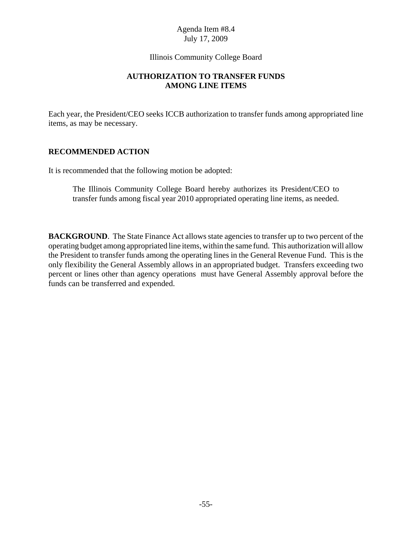### Illinois Community College Board

## **AUTHORIZATION TO TRANSFER FUNDS AMONG LINE ITEMS**

Each year, the President/CEO seeks ICCB authorization to transfer funds among appropriated line items, as may be necessary.

## **RECOMMENDED ACTION**

It is recommended that the following motion be adopted:

The Illinois Community College Board hereby authorizes its President/CEO to transfer funds among fiscal year 2010 appropriated operating line items, as needed.

**BACKGROUND**. The State Finance Act allows state agencies to transfer up to two percent of the operating budget among appropriated line items, within the same fund. This authorization will allow the President to transfer funds among the operating lines in the General Revenue Fund. This is the only flexibility the General Assembly allows in an appropriated budget. Transfers exceeding two percent or lines other than agency operations must have General Assembly approval before the funds can be transferred and expended.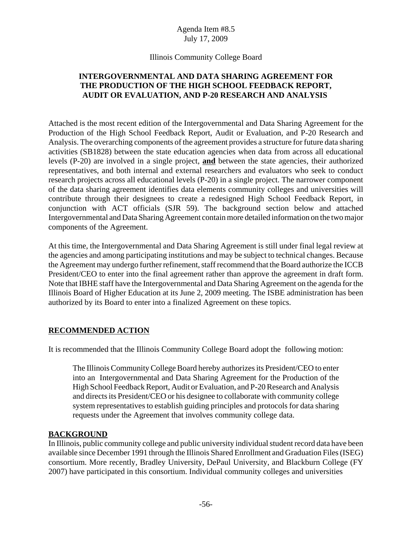### Illinois Community College Board

## **INTERGOVERNMENTAL AND DATA SHARING AGREEMENT FOR THE PRODUCTION OF THE HIGH SCHOOL FEEDBACK REPORT, AUDIT OR EVALUATION, AND P-20 RESEARCH AND ANALYSIS**

Attached is the most recent edition of the Intergovernmental and Data Sharing Agreement for the Production of the High School Feedback Report, Audit or Evaluation, and P-20 Research and Analysis. The overarching components of the agreement provides a structure for future data sharing activities (SB1828) between the state education agencies when data from across all educational levels (P-20) are involved in a single project, **and** between the state agencies, their authorized representatives, and both internal and external researchers and evaluators who seek to conduct research projects across all educational levels (P-20) in a single project. The narrower component of the data sharing agreement identifies data elements community colleges and universities will contribute through their designees to create a redesigned High School Feedback Report, in conjunction with ACT officials (SJR 59). The background section below and attached Intergovernmental and Data Sharing Agreement contain more detailed information on the two major components of the Agreement.

At this time, the Intergovernmental and Data Sharing Agreement is still under final legal review at the agencies and among participating institutions and may be subject to technical changes. Because the Agreement may undergo further refinement, staff recommend that the Board authorize the ICCB President/CEO to enter into the final agreement rather than approve the agreement in draft form. Note that IBHE staff have the Intergovernmental and Data Sharing Agreement on the agenda for the Illinois Board of Higher Education at its June 2, 2009 meeting. The ISBE administration has been authorized by its Board to enter into a finalized Agreement on these topics.

## **RECOMMENDED ACTION**

It is recommended that the Illinois Community College Board adopt the following motion:

The Illinois Community College Board hereby authorizes its President/CEO to enter into an Intergovernmental and Data Sharing Agreement for the Production of the High School Feedback Report, Audit or Evaluation, and P-20 Research and Analysis and directs its President/CEO or his designee to collaborate with community college system representatives to establish guiding principles and protocols for data sharing requests under the Agreement that involves community college data.

#### **BACKGROUND**

In Illinois, public community college and public university individual student record data have been available since December 1991 through the Illinois Shared Enrollment and Graduation Files (ISEG) consortium. More recently, Bradley University, DePaul University, and Blackburn College (FY 2007) have participated in this consortium. Individual community colleges and universities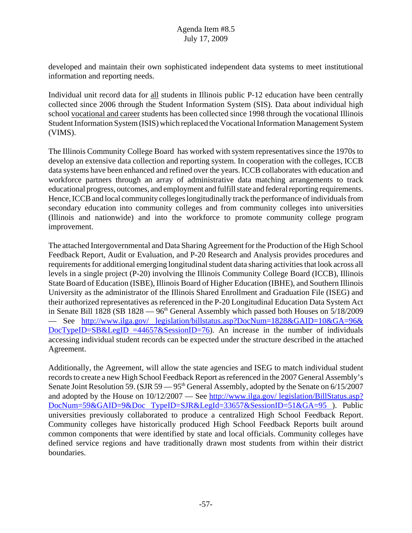developed and maintain their own sophisticated independent data systems to meet institutional information and reporting needs.

Individual unit record data for all students in Illinois public P-12 education have been centrally collected since 2006 through the Student Information System (SIS). Data about individual high school vocational and career students has been collected since 1998 through the vocational Illinois Student Information System (ISIS) which replaced the Vocational Information Management System (VIMS).

The Illinois Community College Board has worked with system representatives since the 1970s to develop an extensive data collection and reporting system. In cooperation with the colleges, ICCB data systems have been enhanced and refined over the years. ICCB collaborates with education and workforce partners through an array of administrative data matching arrangements to track educational progress, outcomes, and employment and fulfill state and federal reporting requirements. Hence, ICCB and local community colleges longitudinally track the performance of individuals from secondary education into community colleges and from community colleges into universities (Illinois and nationwide) and into the workforce to promote community college program improvement.

The attached Intergovernmental and Data Sharing Agreement for the Production of the High School Feedback Report, Audit or Evaluation, and P-20 Research and Analysis provides procedures and requirements for additional emerging longitudinal student data sharing activities that look across all levels in a single project (P-20) involving the Illinois Community College Board (ICCB), Illinois State Board of Education (ISBE), Illinois Board of Higher Education (IBHE), and Southern Illinois University as the administrator of the Illinois Shared Enrollment and Graduation File (ISEG) and their authorized representatives as referenced in the P-20 Longitudinal Education Data System Act in Senate Bill 1828 (SB 1828 ––  $96<sup>th</sup>$  General Assembly which passed both Houses on  $5/18/2009$ –– See http://www.ilga.gov/ legislation/billstatus.asp?DocNum=1828&GAID=10&GA=96& DocTypeID=SB&LegID =44657&SessionID=76). An increase in the number of individuals accessing individual student records can be expected under the structure described in the attached Agreement.

Additionally, the Agreement, will allow the state agencies and ISEG to match individual student records to create a new High School Feedback Report as referenced in the 2007 General Assembly's Senate Joint Resolution 59. (SJR 59  $-$  95<sup>th</sup> General Assembly, adopted by the Senate on 6/15/2007 and adopted by the House on  $10/12/2007$  — See http://www.ilga.gov/ legislation/BillStatus.asp? DocNum=59&GAID=9&Doc TypeID=SJR&LegId=33657&SessionID=51&GA=95 ). Public universities previously collaborated to produce a centralized High School Feedback Report. Community colleges have historically produced High School Feedback Reports built around common components that were identified by state and local officials. Community colleges have defined service regions and have traditionally drawn most students from within their district boundaries.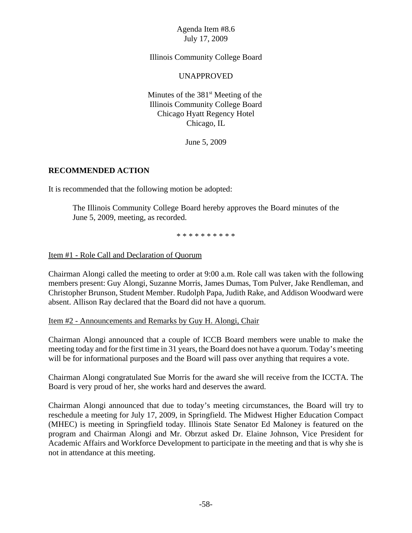Illinois Community College Board

#### UNAPPROVED

Minutes of the  $381<sup>st</sup>$  Meeting of the Illinois Community College Board Chicago Hyatt Regency Hotel Chicago, IL

June 5, 2009

### **RECOMMENDED ACTION**

It is recommended that the following motion be adopted:

The Illinois Community College Board hereby approves the Board minutes of the June 5, 2009, meeting, as recorded.

\* \* \* \* \* \* \* \* \* \*

Item #1 - Role Call and Declaration of Quorum

Chairman Alongi called the meeting to order at 9:00 a.m. Role call was taken with the following members present: Guy Alongi, Suzanne Morris, James Dumas, Tom Pulver, Jake Rendleman, and Christopher Brunson, Student Member. Rudolph Papa, Judith Rake, and Addison Woodward were absent. Allison Ray declared that the Board did not have a quorum.

#### Item #2 - Announcements and Remarks by Guy H. Alongi, Chair

Chairman Alongi announced that a couple of ICCB Board members were unable to make the meeting today and for the first time in 31 years, the Board does not have a quorum. Today's meeting will be for informational purposes and the Board will pass over anything that requires a vote.

Chairman Alongi congratulated Sue Morris for the award she will receive from the ICCTA. The Board is very proud of her, she works hard and deserves the award.

Chairman Alongi announced that due to today's meeting circumstances, the Board will try to reschedule a meeting for July 17, 2009, in Springfield. The Midwest Higher Education Compact (MHEC) is meeting in Springfield today. Illinois State Senator Ed Maloney is featured on the program and Chairman Alongi and Mr. Obrzut asked Dr. Elaine Johnson, Vice President for Academic Affairs and Workforce Development to participate in the meeting and that is why she is not in attendance at this meeting.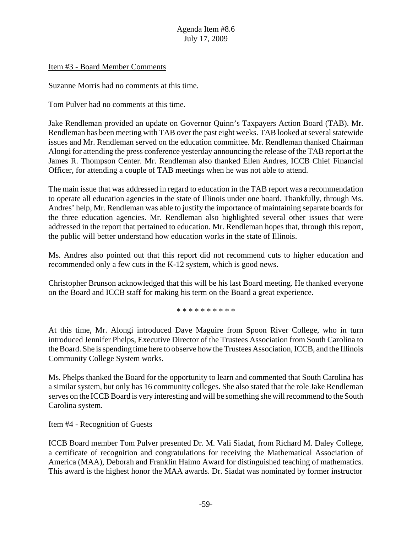#### Item #3 - Board Member Comments

Suzanne Morris had no comments at this time.

Tom Pulver had no comments at this time.

Jake Rendleman provided an update on Governor Quinn's Taxpayers Action Board (TAB). Mr. Rendleman has been meeting with TAB over the past eight weeks. TAB looked at several statewide issues and Mr. Rendleman served on the education committee. Mr. Rendleman thanked Chairman Alongi for attending the press conference yesterday announcing the release of the TAB report at the James R. Thompson Center. Mr. Rendleman also thanked Ellen Andres, ICCB Chief Financial Officer, for attending a couple of TAB meetings when he was not able to attend.

The main issue that was addressed in regard to education in the TAB report was a recommendation to operate all education agencies in the state of Illinois under one board. Thankfully, through Ms. Andres' help, Mr. Rendleman was able to justify the importance of maintaining separate boards for the three education agencies. Mr. Rendleman also highlighted several other issues that were addressed in the report that pertained to education. Mr. Rendleman hopes that, through this report, the public will better understand how education works in the state of Illinois.

Ms. Andres also pointed out that this report did not recommend cuts to higher education and recommended only a few cuts in the K-12 system, which is good news.

Christopher Brunson acknowledged that this will be his last Board meeting. He thanked everyone on the Board and ICCB staff for making his term on the Board a great experience.

\* \* \* \* \* \* \* \* \* \*

At this time, Mr. Alongi introduced Dave Maguire from Spoon River College, who in turn introduced Jennifer Phelps, Executive Director of the Trustees Association from South Carolina to the Board. She is spending time here to observe how the Trustees Association, ICCB, and the Illinois Community College System works.

Ms. Phelps thanked the Board for the opportunity to learn and commented that South Carolina has a similar system, but only has 16 community colleges. She also stated that the role Jake Rendleman serves on the ICCB Board is very interesting and will be something she will recommend to the South Carolina system.

#### Item #4 - Recognition of Guests

ICCB Board member Tom Pulver presented Dr. M. Vali Siadat, from Richard M. Daley College, a certificate of recognition and congratulations for receiving the Mathematical Association of America (MAA), Deborah and Franklin Haimo Award for distinguished teaching of mathematics. This award is the highest honor the MAA awards. Dr. Siadat was nominated by former instructor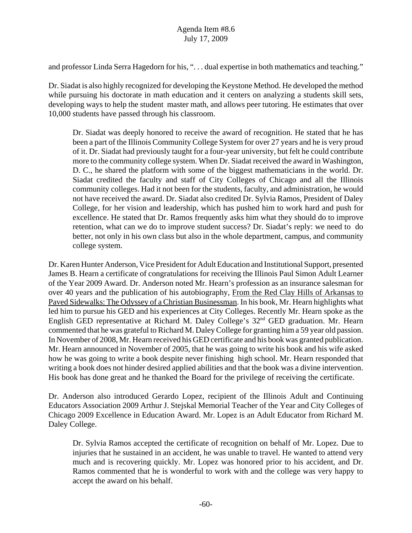and professor Linda Serra Hagedorn for his, ". . . dual expertise in both mathematics and teaching."

Dr. Siadat is also highly recognized for developing the Keystone Method. He developed the method while pursuing his doctorate in math education and it centers on analyzing a students skill sets, developing ways to help the student master math, and allows peer tutoring. He estimates that over 10,000 students have passed through his classroom.

Dr. Siadat was deeply honored to receive the award of recognition. He stated that he has been a part of the Illinois Community College System for over 27 years and he is very proud of it. Dr. Siadat had previously taught for a four-year university, but felt he could contribute more to the community college system. When Dr. Siadat received the award in Washington, D. C., he shared the platform with some of the biggest mathematicians in the world. Dr. Siadat credited the faculty and staff of City Colleges of Chicago and all the Illinois community colleges. Had it not been for the students, faculty, and administration, he would not have received the award. Dr. Siadat also credited Dr. Sylvia Ramos, President of Daley College, for her vision and leadership, which has pushed him to work hard and push for excellence. He stated that Dr. Ramos frequently asks him what they should do to improve retention, what can we do to improve student success? Dr. Siadat's reply: we need to do better, not only in his own class but also in the whole department, campus, and community college system.

Dr. Karen Hunter Anderson, Vice President for Adult Education and Institutional Support, presented James B. Hearn a certificate of congratulations for receiving the Illinois Paul Simon Adult Learner of the Year 2009 Award. Dr. Anderson noted Mr. Hearn's profession as an insurance salesman for over 40 years and the publication of his autobiography, From the Red Clay Hills of Arkansas to Paved Sidewalks: The Odyssey of a Christian Businessman. In his book, Mr. Hearn highlights what led him to pursue his GED and his experiences at City Colleges. Recently Mr. Hearn spoke as the English GED representative at Richard M. Daley College's  $32<sup>nd</sup>$  GED graduation. Mr. Hearn commented that he was grateful to Richard M. Daley College for granting him a 59 year old passion. In November of 2008, Mr. Hearn received his GED certificate and his book was granted publication. Mr. Hearn announced in November of 2005, that he was going to write his book and his wife asked how he was going to write a book despite never finishing high school. Mr. Hearn responded that writing a book does not hinder desired applied abilities and that the book was a divine intervention. His book has done great and he thanked the Board for the privilege of receiving the certificate.

Dr. Anderson also introduced Gerardo Lopez, recipient of the Illinois Adult and Continuing Educators Association 2009 Arthur J. Stejskal Memorial Teacher of the Year and City Colleges of Chicago 2009 Excellence in Education Award. Mr. Lopez is an Adult Educator from Richard M. Daley College.

Dr. Sylvia Ramos accepted the certificate of recognition on behalf of Mr. Lopez. Due to injuries that he sustained in an accident, he was unable to travel. He wanted to attend very much and is recovering quickly. Mr. Lopez was honored prior to his accident, and Dr. Ramos commented that he is wonderful to work with and the college was very happy to accept the award on his behalf.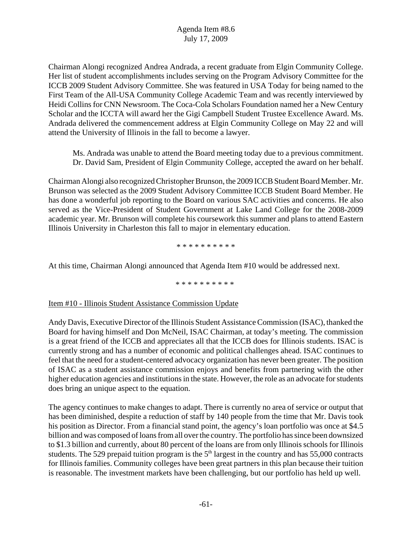Chairman Alongi recognized Andrea Andrada, a recent graduate from Elgin Community College. Her list of student accomplishments includes serving on the Program Advisory Committee for the ICCB 2009 Student Advisory Committee. She was featured in USA Today for being named to the First Team of the All-USA Community College Academic Team and was recently interviewed by Heidi Collins for CNN Newsroom. The Coca-Cola Scholars Foundation named her a New Century Scholar and the ICCTA will award her the Gigi Campbell Student Trustee Excellence Award. Ms. Andrada delivered the commencement address at Elgin Community College on May 22 and will attend the University of Illinois in the fall to become a lawyer.

Ms. Andrada was unable to attend the Board meeting today due to a previous commitment. Dr. David Sam, President of Elgin Community College, accepted the award on her behalf.

Chairman Alongi also recognized Christopher Brunson, the 2009 ICCB Student Board Member. Mr. Brunson was selected as the 2009 Student Advisory Committee ICCB Student Board Member. He has done a wonderful job reporting to the Board on various SAC activities and concerns. He also served as the Vice-President of Student Government at Lake Land College for the 2008-2009 academic year. Mr. Brunson will complete his coursework this summer and plans to attend Eastern Illinois University in Charleston this fall to major in elementary education.

\* \* \* \* \* \* \* \* \* \*

At this time, Chairman Alongi announced that Agenda Item #10 would be addressed next.

\* \* \* \* \* \* \* \* \* \*

#### Item #10 - Illinois Student Assistance Commission Update

Andy Davis, Executive Director of the Illinois Student Assistance Commission (ISAC), thanked the Board for having himself and Don McNeil, ISAC Chairman, at today's meeting. The commission is a great friend of the ICCB and appreciates all that the ICCB does for Illinois students. ISAC is currently strong and has a number of economic and political challenges ahead. ISAC continues to feel that the need for a student-centered advocacy organization has never been greater. The position of ISAC as a student assistance commission enjoys and benefits from partnering with the other higher education agencies and institutions in the state. However, the role as an advocate for students does bring an unique aspect to the equation.

The agency continues to make changes to adapt. There is currently no area of service or output that has been diminished, despite a reduction of staff by 140 people from the time that Mr. Davis took his position as Director. From a financial stand point, the agency's loan portfolio was once at \$4.5 billion and was composed of loans from all over the country. The portfolio has since been downsized to \$1.3 billion and currently, about 80 percent of the loans are from only Illinois schools for Illinois students. The 529 prepaid tuition program is the  $5<sup>th</sup>$  largest in the country and has 55,000 contracts for Illinois families. Community colleges have been great partners in this plan because their tuition is reasonable. The investment markets have been challenging, but our portfolio has held up well.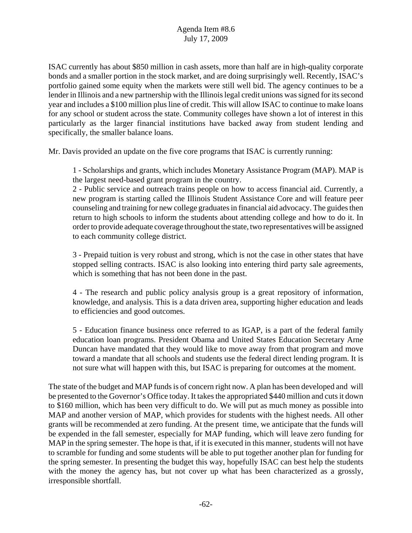ISAC currently has about \$850 million in cash assets, more than half are in high-quality corporate bonds and a smaller portion in the stock market, and are doing surprisingly well. Recently, ISAC's portfolio gained some equity when the markets were still well bid. The agency continues to be a lender in Illinois and a new partnership with the Illinois legal credit unions was signed for its second year and includes a \$100 million plus line of credit. This will allow ISAC to continue to make loans for any school or student across the state. Community colleges have shown a lot of interest in this particularly as the larger financial institutions have backed away from student lending and specifically, the smaller balance loans.

Mr. Davis provided an update on the five core programs that ISAC is currently running:

 1 - Scholarships and grants, which includes Monetary Assistance Program (MAP). MAP is the largest need-based grant program in the country.

2 - Public service and outreach trains people on how to access financial aid. Currently, a new program is starting called the Illinois Student Assistance Core and will feature peer counseling and training for new college graduates in financial aid advocacy. The guides then return to high schools to inform the students about attending college and how to do it. In order to provide adequate coverage throughout the state, two representatives will be assigned to each community college district.

3 - Prepaid tuition is very robust and strong, which is not the case in other states that have stopped selling contracts. ISAC is also looking into entering third party sale agreements, which is something that has not been done in the past.

4 - The research and public policy analysis group is a great repository of information, knowledge, and analysis. This is a data driven area, supporting higher education and leads to efficiencies and good outcomes.

5 - Education finance business once referred to as IGAP, is a part of the federal family education loan programs. President Obama and United States Education Secretary Arne Duncan have mandated that they would like to move away from that program and move toward a mandate that all schools and students use the federal direct lending program. It is not sure what will happen with this, but ISAC is preparing for outcomes at the moment.

The state of the budget and MAP funds is of concern right now. A plan has been developed and will be presented to the Governor's Office today. It takes the appropriated \$440 million and cuts it down to \$160 million, which has been very difficult to do. We will put as much money as possible into MAP and another version of MAP, which provides for students with the highest needs. All other grants will be recommended at zero funding. At the present time, we anticipate that the funds will be expended in the fall semester, especially for MAP funding, which will leave zero funding for MAP in the spring semester. The hope is that, if it is executed in this manner, students will not have to scramble for funding and some students will be able to put together another plan for funding for the spring semester. In presenting the budget this way, hopefully ISAC can best help the students with the money the agency has, but not cover up what has been characterized as a grossly, irresponsible shortfall.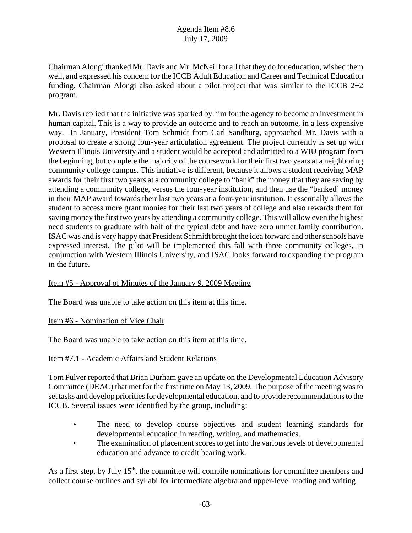Chairman Alongi thanked Mr. Davis and Mr. McNeil for all that they do for education, wished them well, and expressed his concern for the ICCB Adult Education and Career and Technical Education funding. Chairman Alongi also asked about a pilot project that was similar to the ICCB 2+2 program.

Mr. Davis replied that the initiative was sparked by him for the agency to become an investment in human capital. This is a way to provide an outcome and to reach an outcome, in a less expensive way. In January, President Tom Schmidt from Carl Sandburg, approached Mr. Davis with a proposal to create a strong four-year articulation agreement. The project currently is set up with Western Illinois University and a student would be accepted and admitted to a WIU program from the beginning, but complete the majority of the coursework for their first two years at a neighboring community college campus. This initiative is different, because it allows a student receiving MAP awards for their first two years at a community college to "bank" the money that they are saving by attending a community college, versus the four-year institution, and then use the "banked' money in their MAP award towards their last two years at a four-year institution. It essentially allows the student to access more grant monies for their last two years of college and also rewards them for saving money the first two years by attending a community college. This will allow even the highest need students to graduate with half of the typical debt and have zero unmet family contribution. ISAC was and is very happy that President Schmidt brought the idea forward and other schools have expressed interest. The pilot will be implemented this fall with three community colleges, in conjunction with Western Illinois University, and ISAC looks forward to expanding the program in the future.

## Item #5 - Approval of Minutes of the January 9, 2009 Meeting

The Board was unable to take action on this item at this time.

#### Item #6 - Nomination of Vice Chair

The Board was unable to take action on this item at this time.

#### Item #7.1 - Academic Affairs and Student Relations

Tom Pulver reported that Brian Durham gave an update on the Developmental Education Advisory Committee (DEAC) that met for the first time on May 13, 2009. The purpose of the meeting was to set tasks and develop priorities for developmental education, and to provide recommendations to the ICCB. Several issues were identified by the group, including:

- The need to develop course objectives and student learning standards for developmental education in reading, writing, and mathematics.
- $\blacktriangleright$  The examination of placement scores to get into the various levels of developmental education and advance to credit bearing work.

As a first step, by July  $15<sup>th</sup>$ , the committee will compile nominations for committee members and collect course outlines and syllabi for intermediate algebra and upper-level reading and writing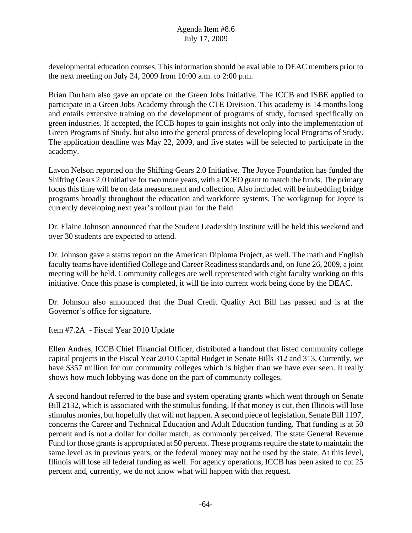developmental education courses. This information should be available to DEAC members prior to the next meeting on July 24, 2009 from 10:00 a.m. to 2:00 p.m.

Brian Durham also gave an update on the Green Jobs Initiative. The ICCB and ISBE applied to participate in a Green Jobs Academy through the CTE Division. This academy is 14 months long and entails extensive training on the development of programs of study, focused specifically on green industries. If accepted, the ICCB hopes to gain insights not only into the implementation of Green Programs of Study, but also into the general process of developing local Programs of Study. The application deadline was May 22, 2009, and five states will be selected to participate in the academy.

Lavon Nelson reported on the Shifting Gears 2.0 Initiative. The Joyce Foundation has funded the Shifting Gears 2.0 Initiative for two more years, with a DCEO grant to match the funds. The primary focus this time will be on data measurement and collection. Also included will be imbedding bridge programs broadly throughout the education and workforce systems. The workgroup for Joyce is currently developing next year's rollout plan for the field.

Dr. Elaine Johnson announced that the Student Leadership Institute will be held this weekend and over 30 students are expected to attend.

Dr. Johnson gave a status report on the American Diploma Project, as well. The math and English faculty teams have identified College and Career Readiness standards and, on June 26, 2009, a joint meeting will be held. Community colleges are well represented with eight faculty working on this initiative. Once this phase is completed, it will tie into current work being done by the DEAC.

Dr. Johnson also announced that the Dual Credit Quality Act Bill has passed and is at the Governor's office for signature.

## Item #7.2A - Fiscal Year 2010 Update

Ellen Andres, ICCB Chief Financial Officer, distributed a handout that listed community college capital projects in the Fiscal Year 2010 Capital Budget in Senate Bills 312 and 313. Currently, we have \$357 million for our community colleges which is higher than we have ever seen. It really shows how much lobbying was done on the part of community colleges.

A second handout referred to the base and system operating grants which went through on Senate Bill 2132, which is associated with the stimulus funding. If that money is cut, then Illinois will lose stimulus monies, but hopefully that will not happen. A second piece of legislation, Senate Bill 1197, concerns the Career and Technical Education and Adult Education funding. That funding is at 50 percent and is not a dollar for dollar match, as commonly perceived. The state General Revenue Fund for those grants is appropriated at 50 percent. These programs require the state to maintain the same level as in previous years, or the federal money may not be used by the state. At this level, Illinois will lose all federal funding as well. For agency operations, ICCB has been asked to cut 25 percent and, currently, we do not know what will happen with that request.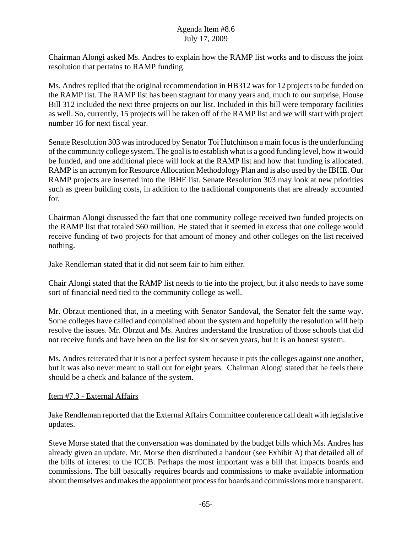Chairman Alongi asked Ms. Andres to explain how the RAMP list works and to discuss the joint resolution that pertains to RAMP funding.

Ms. Andres replied that the original recommendation in HB312 was for 12 projects to be funded on the RAMP list. The RAMP list has been stagnant for many years and, much to our surprise, House Bill 312 included the next three projects on our list. Included in this bill were temporary facilities as well. So, currently, 15 projects will be taken off of the RAMP list and we will start with project number 16 for next fiscal year.

Senate Resolution 303 was introduced by Senator Toi Hutchinson a main focus is the underfunding of the community college system. The goal is to establish what is a good funding level, how it would be funded, and one additional piece will look at the RAMP list and how that funding is allocated. RAMP is an acronym for Resource Allocation Methodology Plan and is also used by the IBHE. Our RAMP projects are inserted into the IBHE list. Senate Resolution 303 may look at new priorities such as green building costs, in addition to the traditional components that are already accounted for.

Chairman Alongi discussed the fact that one community college received two funded projects on the RAMP list that totaled \$60 million. He stated that it seemed in excess that one college would receive funding of two projects for that amount of money and other colleges on the list received nothing.

Jake Rendleman stated that it did not seem fair to him either.

Chair Alongi stated that the RAMP list needs to tie into the project, but it also needs to have some sort of financial need tied to the community college as well.

Mr. Obrzut mentioned that, in a meeting with Senator Sandoval, the Senator felt the same way. Some colleges have called and complained about the system and hopefully the resolution will help resolve the issues. Mr. Obrzut and Ms. Andres understand the frustration of those schools that did not receive funds and have been on the list for six or seven years, but it is an honest system.

Ms. Andres reiterated that it is not a perfect system because it pits the colleges against one another, but it was also never meant to stall out for eight years. Chairman Alongi stated that he feels there should be a check and balance of the system.

## Item #7.3 - External Affairs

Jake Rendleman reported that the External Affairs Committee conference call dealt with legislative updates.

Steve Morse stated that the conversation was dominated by the budget bills which Ms. Andres has already given an update. Mr. Morse then distributed a handout (see Exhibit A) that detailed all of the bills of interest to the ICCB. Perhaps the most important was a bill that impacts boards and commissions. The bill basically requires boards and commissions to make available information about themselves and makes the appointment process for boards and commissions more transparent.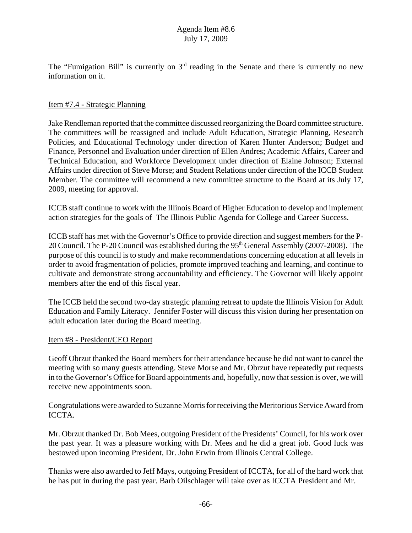The "Fumigation Bill" is currently on  $3<sup>rd</sup>$  reading in the Senate and there is currently no new information on it.

### Item #7.4 - Strategic Planning

Jake Rendleman reported that the committee discussed reorganizing the Board committee structure. The committees will be reassigned and include Adult Education, Strategic Planning, Research Policies, and Educational Technology under direction of Karen Hunter Anderson; Budget and Finance, Personnel and Evaluation under direction of Ellen Andres; Academic Affairs, Career and Technical Education, and Workforce Development under direction of Elaine Johnson; External Affairs under direction of Steve Morse; and Student Relations under direction of the ICCB Student Member. The committee will recommend a new committee structure to the Board at its July 17, 2009, meeting for approval.

ICCB staff continue to work with the Illinois Board of Higher Education to develop and implement action strategies for the goals of The Illinois Public Agenda for College and Career Success.

ICCB staff has met with the Governor's Office to provide direction and suggest members for the P-20 Council. The P-20 Council was established during the  $95<sup>th</sup>$  General Assembly (2007-2008). The purpose of this council is to study and make recommendations concerning education at all levels in order to avoid fragmentation of policies, promote improved teaching and learning, and continue to cultivate and demonstrate strong accountability and efficiency. The Governor will likely appoint members after the end of this fiscal year.

The ICCB held the second two-day strategic planning retreat to update the Illinois Vision for Adult Education and Family Literacy. Jennifer Foster will discuss this vision during her presentation on adult education later during the Board meeting.

#### Item #8 - President/CEO Report

Geoff Obrzut thanked the Board members for their attendance because he did not want to cancel the meeting with so many guests attending. Steve Morse and Mr. Obrzut have repeatedly put requests in to the Governor's Office for Board appointments and, hopefully, now that session is over, we will receive new appointments soon.

Congratulations were awarded to Suzanne Morris for receiving the Meritorious Service Award from ICCTA.

Mr. Obrzut thanked Dr. Bob Mees, outgoing President of the Presidents' Council, for his work over the past year. It was a pleasure working with Dr. Mees and he did a great job. Good luck was bestowed upon incoming President, Dr. John Erwin from Illinois Central College.

Thanks were also awarded to Jeff Mays, outgoing President of ICCTA, for all of the hard work that he has put in during the past year. Barb Oilschlager will take over as ICCTA President and Mr.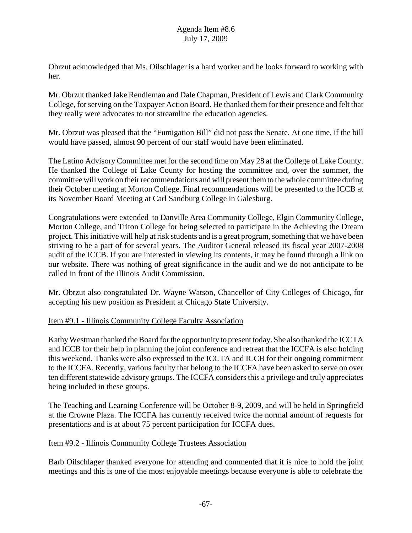Obrzut acknowledged that Ms. Oilschlager is a hard worker and he looks forward to working with her.

Mr. Obrzut thanked Jake Rendleman and Dale Chapman, President of Lewis and Clark Community College, for serving on the Taxpayer Action Board. He thanked them for their presence and felt that they really were advocates to not streamline the education agencies.

Mr. Obrzut was pleased that the "Fumigation Bill" did not pass the Senate. At one time, if the bill would have passed, almost 90 percent of our staff would have been eliminated.

The Latino Advisory Committee met for the second time on May 28 at the College of Lake County. He thanked the College of Lake County for hosting the committee and, over the summer, the committee will work on their recommendations and will present them to the whole committee during their October meeting at Morton College. Final recommendations will be presented to the ICCB at its November Board Meeting at Carl Sandburg College in Galesburg.

Congratulations were extended to Danville Area Community College, Elgin Community College, Morton College, and Triton College for being selected to participate in the Achieving the Dream project. This initiative will help at risk students and is a great program, something that we have been striving to be a part of for several years. The Auditor General released its fiscal year 2007-2008 audit of the ICCB. If you are interested in viewing its contents, it may be found through a link on our website. There was nothing of great significance in the audit and we do not anticipate to be called in front of the Illinois Audit Commission.

Mr. Obrzut also congratulated Dr. Wayne Watson, Chancellor of City Colleges of Chicago, for accepting his new position as President at Chicago State University.

## Item #9.1 - Illinois Community College Faculty Association

Kathy Westman thanked the Board for the opportunity to present today. She also thanked the ICCTA and ICCB for their help in planning the joint conference and retreat that the ICCFA is also holding this weekend. Thanks were also expressed to the ICCTA and ICCB for their ongoing commitment to the ICCFA. Recently, various faculty that belong to the ICCFA have been asked to serve on over ten different statewide advisory groups. The ICCFA considers this a privilege and truly appreciates being included in these groups.

The Teaching and Learning Conference will be October 8-9, 2009, and will be held in Springfield at the Crowne Plaza. The ICCFA has currently received twice the normal amount of requests for presentations and is at about 75 percent participation for ICCFA dues.

## Item #9.2 - Illinois Community College Trustees Association

Barb Oilschlager thanked everyone for attending and commented that it is nice to hold the joint meetings and this is one of the most enjoyable meetings because everyone is able to celebrate the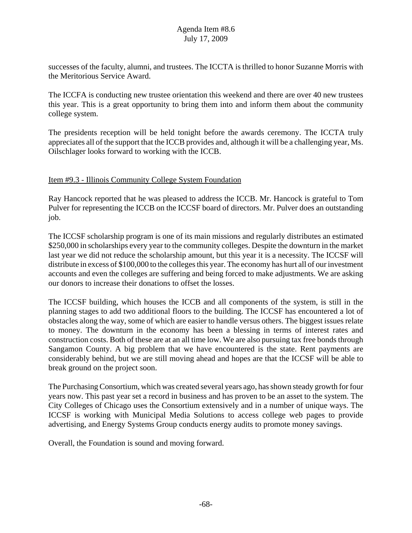successes of the faculty, alumni, and trustees. The ICCTA is thrilled to honor Suzanne Morris with the Meritorious Service Award.

The ICCFA is conducting new trustee orientation this weekend and there are over 40 new trustees this year. This is a great opportunity to bring them into and inform them about the community college system.

The presidents reception will be held tonight before the awards ceremony. The ICCTA truly appreciates all of the support that the ICCB provides and, although it will be a challenging year, Ms. Oilschlager looks forward to working with the ICCB.

## Item #9.3 - Illinois Community College System Foundation

Ray Hancock reported that he was pleased to address the ICCB. Mr. Hancock is grateful to Tom Pulver for representing the ICCB on the ICCSF board of directors. Mr. Pulver does an outstanding job.

The ICCSF scholarship program is one of its main missions and regularly distributes an estimated \$250,000 in scholarships every year to the community colleges. Despite the downturn in the market last year we did not reduce the scholarship amount, but this year it is a necessity. The ICCSF will distribute in excess of \$100,000 to the colleges this year. The economy has hurt all of our investment accounts and even the colleges are suffering and being forced to make adjustments. We are asking our donors to increase their donations to offset the losses.

The ICCSF building, which houses the ICCB and all components of the system, is still in the planning stages to add two additional floors to the building. The ICCSF has encountered a lot of obstacles along the way, some of which are easier to handle versus others. The biggest issues relate to money. The downturn in the economy has been a blessing in terms of interest rates and construction costs. Both of these are at an all time low. We are also pursuing tax free bonds through Sangamon County. A big problem that we have encountered is the state. Rent payments are considerably behind, but we are still moving ahead and hopes are that the ICCSF will be able to break ground on the project soon.

The Purchasing Consortium, which was created several years ago, has shown steady growth for four years now. This past year set a record in business and has proven to be an asset to the system. The City Colleges of Chicago uses the Consortium extensively and in a number of unique ways. The ICCSF is working with Municipal Media Solutions to access college web pages to provide advertising, and Energy Systems Group conducts energy audits to promote money savings.

Overall, the Foundation is sound and moving forward.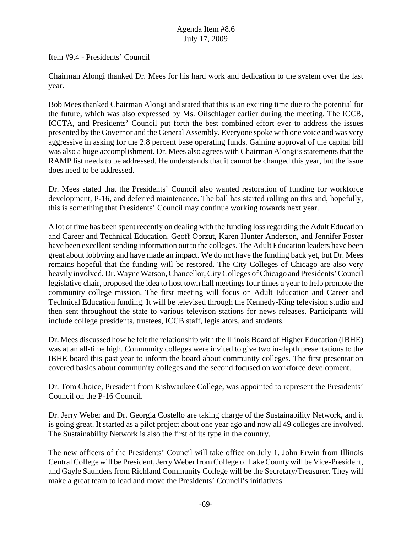#### Item #9.4 - Presidents' Council

Chairman Alongi thanked Dr. Mees for his hard work and dedication to the system over the last year.

Bob Mees thanked Chairman Alongi and stated that this is an exciting time due to the potential for the future, which was also expressed by Ms. Oilschlager earlier during the meeting. The ICCB, ICCTA, and Presidents' Council put forth the best combined effort ever to address the issues presented by the Governor and the General Assembly. Everyone spoke with one voice and was very aggressive in asking for the 2.8 percent base operating funds. Gaining approval of the capital bill was also a huge accomplishment. Dr. Mees also agrees with Chairman Alongi's statements that the RAMP list needs to be addressed. He understands that it cannot be changed this year, but the issue does need to be addressed.

Dr. Mees stated that the Presidents' Council also wanted restoration of funding for workforce development, P-16, and deferred maintenance. The ball has started rolling on this and, hopefully, this is something that Presidents' Council may continue working towards next year.

A lot of time has been spent recently on dealing with the funding loss regarding the Adult Education and Career and Technical Education. Geoff Obrzut, Karen Hunter Anderson, and Jennifer Foster have been excellent sending information out to the colleges. The Adult Education leaders have been great about lobbying and have made an impact. We do not have the funding back yet, but Dr. Mees remains hopeful that the funding will be restored. The City Colleges of Chicago are also very heavily involved. Dr. Wayne Watson, Chancellor, City Colleges of Chicago and Presidents' Council legislative chair, proposed the idea to host town hall meetings four times a year to help promote the community college mission. The first meeting will focus on Adult Education and Career and Technical Education funding. It will be televised through the Kennedy-King television studio and then sent throughout the state to various televison stations for news releases. Participants will include college presidents, trustees, ICCB staff, legislators, and students.

Dr. Mees discussed how he felt the relationship with the Illinois Board of Higher Education (IBHE) was at an all-time high. Community colleges were invited to give two in-depth presentations to the IBHE board this past year to inform the board about community colleges. The first presentation covered basics about community colleges and the second focused on workforce development.

Dr. Tom Choice, President from Kishwaukee College, was appointed to represent the Presidents' Council on the P-16 Council.

Dr. Jerry Weber and Dr. Georgia Costello are taking charge of the Sustainability Network, and it is going great. It started as a pilot project about one year ago and now all 49 colleges are involved. The Sustainability Network is also the first of its type in the country.

The new officers of the Presidents' Council will take office on July 1. John Erwin from Illinois Central College will be President, Jerry Weber from College of Lake County will be Vice-President, and Gayle Saunders from Richland Community College will be the Secretary/Treasurer. They will make a great team to lead and move the Presidents' Council's initiatives.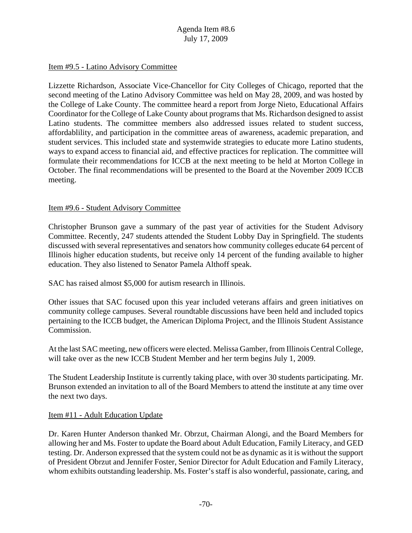### Item #9.5 - Latino Advisory Committee

Lizzette Richardson, Associate Vice-Chancellor for City Colleges of Chicago, reported that the second meeting of the Latino Advisory Committee was held on May 28, 2009, and was hosted by the College of Lake County. The committee heard a report from Jorge Nieto, Educational Affairs Coordinator for the College of Lake County about programs that Ms. Richardson designed to assist Latino students. The committee members also addressed issues related to student success, affordablility, and participation in the committee areas of awareness, academic preparation, and student services. This included state and systemwide strategies to educate more Latino students, ways to expand access to financial aid, and effective practices for replication. The committee will formulate their recommendations for ICCB at the next meeting to be held at Morton College in October. The final recommendations will be presented to the Board at the November 2009 ICCB meeting.

### Item #9.6 - Student Advisory Committee

Christopher Brunson gave a summary of the past year of activities for the Student Advisory Committee. Recently, 247 students attended the Student Lobby Day in Springfield. The students discussed with several representatives and senators how community colleges educate 64 percent of Illinois higher education students, but receive only 14 percent of the funding available to higher education. They also listened to Senator Pamela Althoff speak.

SAC has raised almost \$5,000 for autism research in Illinois.

Other issues that SAC focused upon this year included veterans affairs and green initiatives on community college campuses. Several roundtable discussions have been held and included topics pertaining to the ICCB budget, the American Diploma Project, and the Illinois Student Assistance Commission.

At the last SAC meeting, new officers were elected. Melissa Gamber, from Illinois Central College, will take over as the new ICCB Student Member and her term begins July 1, 2009.

The Student Leadership Institute is currently taking place, with over 30 students participating. Mr. Brunson extended an invitation to all of the Board Members to attend the institute at any time over the next two days.

#### Item #11 - Adult Education Update

Dr. Karen Hunter Anderson thanked Mr. Obrzut, Chairman Alongi, and the Board Members for allowing her and Ms. Foster to update the Board about Adult Education, Family Literacy, and GED testing. Dr. Anderson expressed that the system could not be as dynamic as it is without the support of President Obrzut and Jennifer Foster, Senior Director for Adult Education and Family Literacy, whom exhibits outstanding leadership. Ms. Foster's staff is also wonderful, passionate, caring, and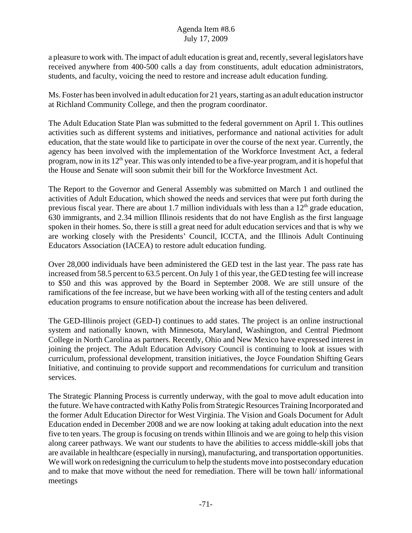## Agenda Item #8.6 July 17, 2009

a pleasure to work with. The impact of adult education is great and, recently, several legislators have received anywhere from 400-500 calls a day from constituents, adult education administrators, students, and faculty, voicing the need to restore and increase adult education funding.

Ms. Foster has been involved in adult education for 21 years, starting as an adult education instructor at Richland Community College, and then the program coordinator.

The Adult Education State Plan was submitted to the federal government on April 1. This outlines activities such as different systems and initiatives, performance and national activities for adult education, that the state would like to participate in over the course of the next year. Currently, the agency has been involved with the implementation of the Workforce Investment Act, a federal program, now in its 12<sup>th</sup> year. This was only intended to be a five-year program, and it is hopeful that the House and Senate will soon submit their bill for the Workforce Investment Act.

The Report to the Governor and General Assembly was submitted on March 1 and outlined the activities of Adult Education, which showed the needs and services that were put forth during the previous fiscal year. There are about 1.7 million individuals with less than a  $12<sup>th</sup>$  grade education, 630 immigrants, and 2.34 million Illinois residents that do not have English as the first language spoken in their homes. So, there is still a great need for adult education services and that is why we are working closely with the Presidents' Council, ICCTA, and the Illinois Adult Continuing Educators Association (IACEA) to restore adult education funding.

Over 28,000 individuals have been administered the GED test in the last year. The pass rate has increased from 58.5 percent to 63.5 percent. On July 1 of this year, the GED testing fee will increase to \$50 and this was approved by the Board in September 2008. We are still unsure of the ramifications of the fee increase, but we have been working with all of the testing centers and adult education programs to ensure notification about the increase has been delivered.

The GED-Illinois project (GED-I) continues to add states. The project is an online instructional system and nationally known, with Minnesota, Maryland, Washington, and Central Piedmont College in North Carolina as partners. Recently, Ohio and New Mexico have expressed interest in joining the project. The Adult Education Advisory Council is continuing to look at issues with curriculum, professional development, transition initiatives, the Joyce Foundation Shifting Gears Initiative, and continuing to provide support and recommendations for curriculum and transition services.

The Strategic Planning Process is currently underway, with the goal to move adult education into the future. We have contracted with Kathy Polis from Strategic Resources Training Incorporated and the former Adult Education Director for West Virginia. The Vision and Goals Document for Adult Education ended in December 2008 and we are now looking at taking adult education into the next five to ten years. The group is focusing on trends within Illinois and we are going to help this vision along career pathways. We want our students to have the abilities to access middle-skill jobs that are available in healthcare (especially in nursing), manufacturing, and transportation opportunities. We will work on redesigning the curriculum to help the students move into postsecondary education and to make that move without the need for remediation. There will be town hall/ informational meetings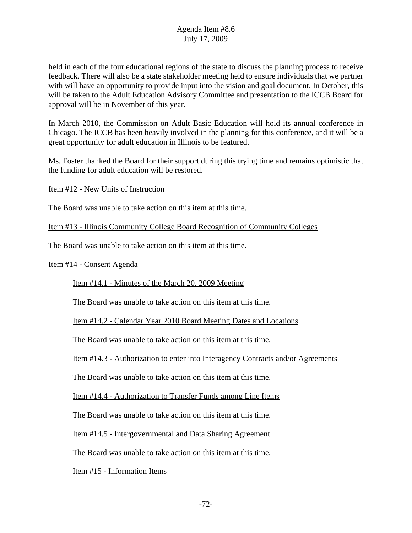held in each of the four educational regions of the state to discuss the planning process to receive feedback. There will also be a state stakeholder meeting held to ensure individuals that we partner with will have an opportunity to provide input into the vision and goal document. In October, this will be taken to the Adult Education Advisory Committee and presentation to the ICCB Board for approval will be in November of this year.

In March 2010, the Commission on Adult Basic Education will hold its annual conference in Chicago. The ICCB has been heavily involved in the planning for this conference, and it will be a great opportunity for adult education in Illinois to be featured.

Ms. Foster thanked the Board for their support during this trying time and remains optimistic that the funding for adult education will be restored.

Item #12 - New Units of Instruction

The Board was unable to take action on this item at this time.

Item #13 - Illinois Community College Board Recognition of Community Colleges

The Board was unable to take action on this item at this time.

Item #14 - Consent Agenda

Item #14.1 - Minutes of the March 20, 2009 Meeting

The Board was unable to take action on this item at this time.

Item #14.2 - Calendar Year 2010 Board Meeting Dates and Locations

The Board was unable to take action on this item at this time.

Item #14.3 - Authorization to enter into Interagency Contracts and/or Agreements

The Board was unable to take action on this item at this time.

Item #14.4 - Authorization to Transfer Funds among Line Items

The Board was unable to take action on this item at this time.

Item #14.5 - Intergovernmental and Data Sharing Agreement

The Board was unable to take action on this item at this time.

Item #15 - Information Items